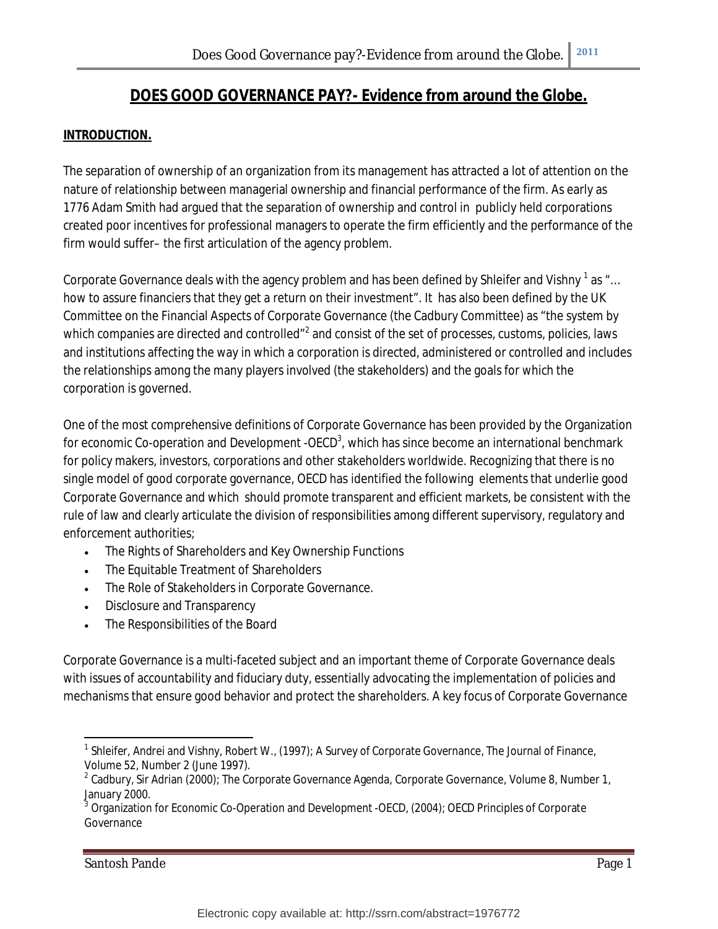# **DOES GOOD GOVERNANCE PAY?- Evidence from around the Globe.**

#### **INTRODUCTION.**

The separation of ownership of an organization from its management has attracted a lot of attention on the nature of relationship between managerial ownership and financial performance of the firm. As early as 1776 Adam Smith had argued that the separation of ownership and control in publicly held corporations created poor incentives for professional managers to operate the firm efficiently and the performance of the firm would suffer– the first articulation of the agency problem.

Corporate Governance deals with the agency problem and has been defined by Shleifer and Vishny  $^1$  as "... how to assure financiers that they get a return on their investment". It has also been defined by the UK Committee on the Financial Aspects of Corporate Governance (the Cadbury Committee) as "the system by which companies are directed and controlled" $^{\text{2}}$  and consist of the set of processes, customs, policies, laws and institutions affecting the way in which a corporation is directed, administered or controlled and includes the relationships among the many players involved (the stakeholders) and the goals for which the corporation is governed.

One of the most comprehensive definitions of Corporate Governance has been provided by the Organization for economic Co-operation and Development -OECD $^3$ , which has since become an international benchmark for policy makers, investors, corporations and other stakeholders worldwide. Recognizing that there is no single model of good corporate governance, OECD has identified the following elements that underlie good Corporate Governance and which should promote transparent and efficient markets, be consistent with the rule of law and clearly articulate the division of responsibilities among different supervisory, regulatory and enforcement authorities;

- The Rights of Shareholders and Key Ownership Functions
- The Equitable Treatment of Shareholders
- The Role of Stakeholders in Corporate Governance.
- Disclosure and Transparency
- The Responsibilities of the Board

Corporate Governance is a multi-faceted subject and an important theme of Corporate Governance deals with issues of accountability and fiduciary duty, essentially advocating the implementation of policies and mechanisms that ensure good behavior and protect the shareholders. A key focus of Corporate Governance

Santosh Pande Page 1

 $\overline{a}$ <sup>1</sup> Shleifer, Andrei and Vishny, Robert W., (1997); A Survey of Corporate Governance, The Journal of Finance, Volume 52, Number 2 (June 1997).

 $^{\text{2}}$  Cadbury, Sir Adrian (2000); The Corporate Governance Agenda, Corporate Governance, Volume 8, Number 1, January 2000.

 $^3$  Organization for Economic Co-Operation and Development -OECD, (2004); OECD Principles of Corporate Governance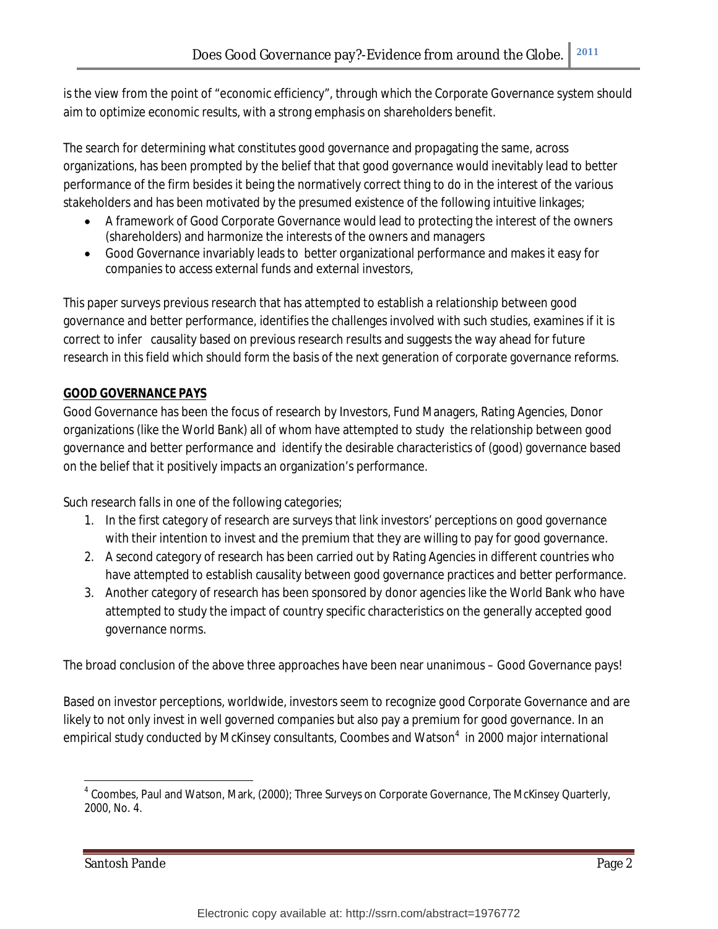is the view from the point of "economic efficiency", through which the Corporate Governance system should aim to optimize economic results, with a strong emphasis on shareholders benefit.

The search for determining what constitutes good governance and propagating the same, across organizations, has been prompted by the belief that that good governance would inevitably lead to better performance of the firm besides it being the normatively correct thing to do in the interest of the various stakeholders and has been motivated by the presumed existence of the following intuitive linkages;

- A framework of Good Corporate Governance would lead to protecting the interest of the owners (shareholders) and harmonize the interests of the owners and managers
- Good Governance invariably leads to better organizational performance and makes it easy for companies to access external funds and external investors,

This paper surveys previous research that has attempted to establish a relationship between good governance and better performance, identifies the challenges involved with such studies, examines if it is correct to infer causality based on previous research results and suggests the way ahead for future research in this field which should form the basis of the next generation of corporate governance reforms.

## **GOOD GOVERNANCE PAYS**

Good Governance has been the focus of research by Investors, Fund Managers, Rating Agencies, Donor organizations (like the World Bank) all of whom have attempted to study the relationship between good governance and better performance and identify the desirable characteristics of (good) governance based on the belief that it positively impacts an organization's performance.

Such research falls in one of the following categories;

- 1. In the first category of research are surveys that link investors' perceptions on good governance with their intention to invest and the premium that they are willing to pay for good governance.
- 2. A second category of research has been carried out by Rating Agencies in different countries who have attempted to establish causality between good governance practices and better performance.
- 3. Another category of research has been sponsored by donor agencies like the World Bank who have attempted to study the impact of country specific characteristics on the generally accepted good governance norms.

The broad conclusion of the above three approaches have been near unanimous – Good Governance pays!

Based on investor perceptions, worldwide, investors seem to recognize good Corporate Governance and are likely to not only invest in well governed companies but also pay a premium for good governance. In an empirical study conducted by McKinsey consultants, Coombes and Watson $^4\,$  in 2000 major international

 $\overline{a}$ 4 Coombes, Paul and Watson, Mark, (2000); Three Surveys on Corporate Governance, The McKinsey Quarterly, 2000, No. 4.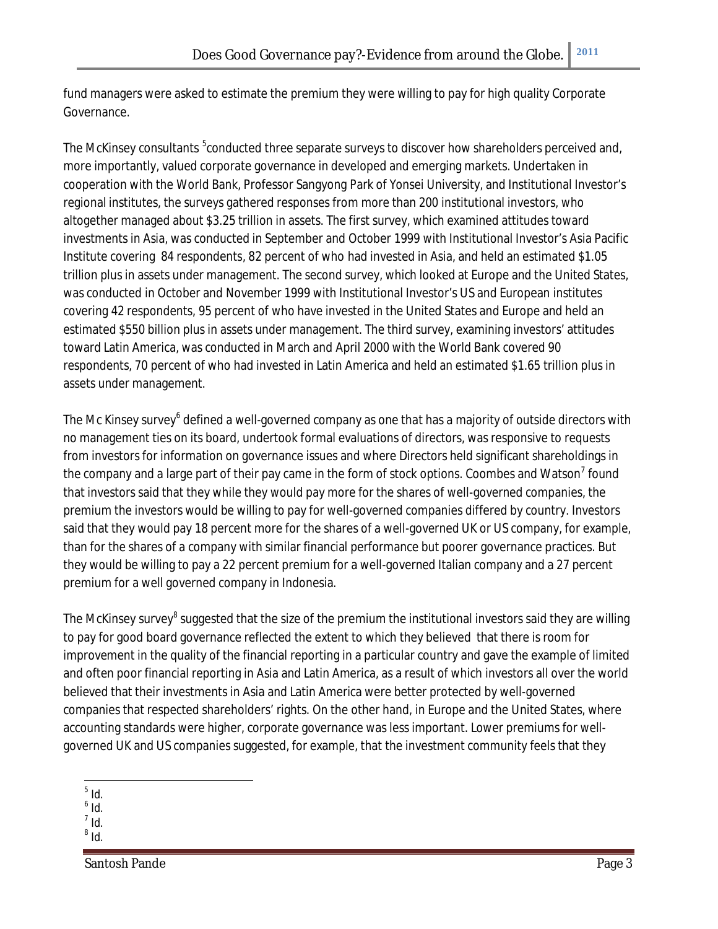fund managers were asked to estimate the premium they were willing to pay for high quality Corporate Governance.

The McKinsey consultants <sup>5</sup>conducted three separate surveys to discover how shareholders perceived and, more importantly, valued corporate governance in developed and emerging markets. Undertaken in cooperation with the World Bank, Professor Sangyong Park of Yonsei University, and Institutional Investor's regional institutes, the surveys gathered responses from more than 200 institutional investors, who altogether managed about \$3.25 trillion in assets. The first survey, which examined attitudes toward investments in Asia, was conducted in September and October 1999 with Institutional Investor's Asia Pacific Institute covering 84 respondents, 82 percent of who had invested in Asia, and held an estimated \$1.05 trillion plus in assets under management. The second survey, which looked at Europe and the United States, was conducted in October and November 1999 with Institutional Investor's US and European institutes covering 42 respondents, 95 percent of who have invested in the United States and Europe and held an estimated \$550 billion plus in assets under management. The third survey, examining investors' attitudes toward Latin America, was conducted in March and April 2000 with the World Bank covered 90 respondents, 70 percent of who had invested in Latin America and held an estimated \$1.65 trillion plus in assets under management.

The Mc Kinsey survey<sup>6</sup> defined a well-governed company as one that has a majority of outside directors with no management ties on its board, undertook formal evaluations of directors, was responsive to requests from investors for information on governance issues and where Directors held significant shareholdings in the company and a large part of their pay came in the form of stock options. Coombes and Watson<sup>7</sup> found that investors said that they while they would pay more for the shares of well-governed companies, the premium the investors would be willing to pay for well-governed companies differed by country. Investors said that they would pay 18 percent more for the shares of a well-governed UK or US company, for example, than for the shares of a company with similar financial performance but poorer governance practices. But they would be willing to pay a 22 percent premium for a well-governed Italian company and a 27 percent premium for a well governed company in Indonesia.

The McKinsey survey<sup>8</sup> suggested that the size of the premium the institutional investors said they are willing to pay for good board governance reflected the extent to which they believed that there is room for improvement in the quality of the financial reporting in a particular country and gave the example of limited and often poor financial reporting in Asia and Latin America, as a result of which investors all over the world believed that their investments in Asia and Latin America were better protected by well-governed companies that respected shareholders' rights. On the other hand, in Europe and the United States, where accounting standards were higher, corporate governance was less important. Lower premiums for wellgoverned UK and US companies suggested, for example, that the investment community feels that they

 $^8$  Id.

 $\frac{5}{5}$  Id.

 $<sup>6</sup>$  Id.</sup>

 $^7$  Id.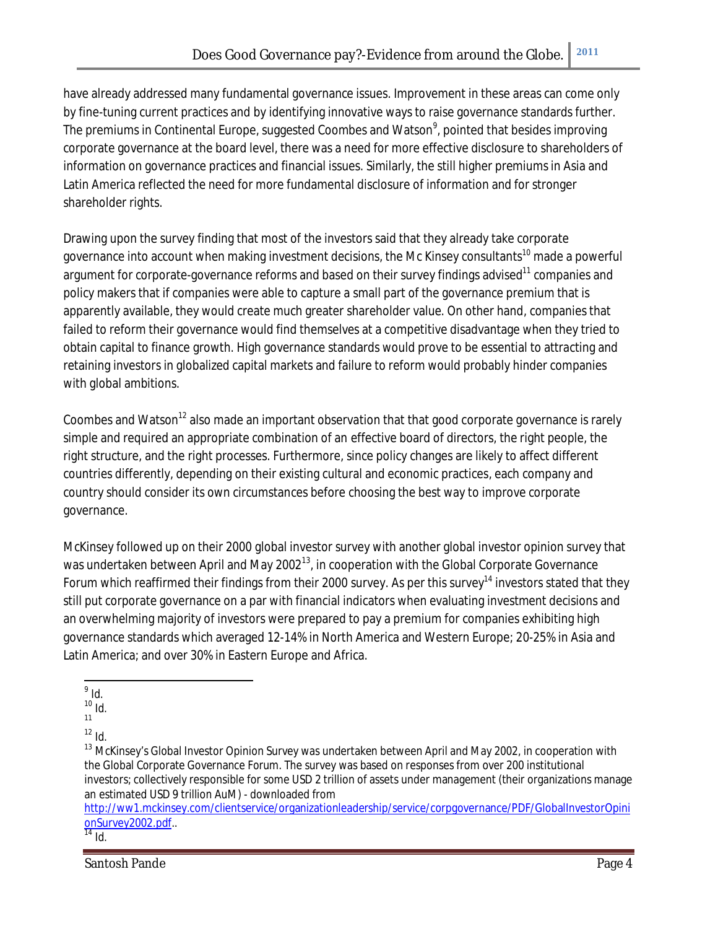have already addressed many fundamental governance issues. Improvement in these areas can come only by fine-tuning current practices and by identifying innovative ways to raise governance standards further. The premiums in Continental Europe, suggested Coombes and Watson<sup>9</sup>, pointed that besides improving corporate governance at the board level, there was a need for more effective disclosure to shareholders of information on governance practices and financial issues. Similarly, the still higher premiums in Asia and Latin America reflected the need for more fundamental disclosure of information and for stronger shareholder rights.

Drawing upon the survey finding that most of the investors said that they already take corporate governance into account when making investment decisions, the Mc Kinsey consultants<sup>10</sup> made a powerful argument for corporate-governance reforms and based on their survey findings advised<sup>11</sup> companies and policy makers that if companies were able to capture a small part of the governance premium that is apparently available, they would create much greater shareholder value. On other hand, companies that failed to reform their governance would find themselves at a competitive disadvantage when they tried to obtain capital to finance growth. High governance standards would prove to be essential to attracting and retaining investors in globalized capital markets and failure to reform would probably hinder companies with global ambitions.

Coombes and Watson<sup>12</sup> also made an important observation that that good corporate governance is rarely simple and required an appropriate combination of an effective board of directors, the right people, the right structure, and the right processes. Furthermore, since policy changes are likely to affect different countries differently, depending on their existing cultural and economic practices, each company and country should consider its own circumstances before choosing the best way to improve corporate governance.

McKinsey followed up on their 2000 global investor survey with another global investor opinion survey that was undertaken between April and May 2002<sup>13</sup>, in cooperation with the Global Corporate Governance Forum which reaffirmed their findings from their 2000 survey. As per this survey<sup>14</sup> investors stated that they still put corporate governance on a par with financial indicators when evaluating investment decisions and an overwhelming majority of investors were prepared to pay a premium for companies exhibiting high governance standards which averaged 12-14% in North America and Western Europe; 20-25% in Asia and Latin America; and over 30% in Eastern Europe and Africa.

 $\frac{9}{9}$ ld.

 $10$   $\overline{\phantom{0}}$  Id.

<sup>11</sup>

 $12$  Id.

<sup>&</sup>lt;sup>13</sup> McKinsey's Global Investor Opinion Survey was undertaken between April and May 2002, in cooperation with the Global Corporate Governance Forum. The survey was based on responses from over 200 institutional investors; collectively responsible for some USD 2 trillion of assets under management (their organizations manage an estimated USD 9 trillion AuM) - downloaded from

http://ww1.mckinsey.com/clientservice/organizationleadership/service/corpgovernance/PDF/GlobalInvestorOpini onSurvey2002.pdf..

 $\overline{14}$  Id.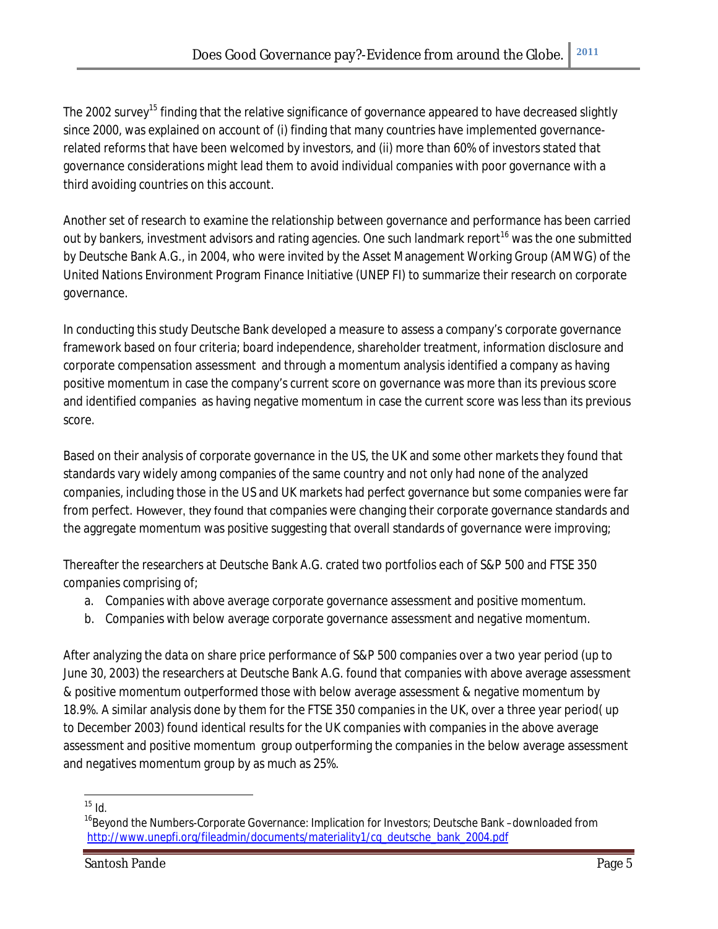The 2002 survey<sup>15</sup> finding that the relative significance of governance appeared to have decreased slightly since 2000, was explained on account of (i) finding that many countries have implemented governancerelated reforms that have been welcomed by investors, and (ii) more than 60% of investors stated that governance considerations might lead them to avoid individual companies with poor governance with a third avoiding countries on this account.

Another set of research to examine the relationship between governance and performance has been carried out by bankers, investment advisors and rating agencies. One such landmark report<sup>16</sup> was the one submitted by Deutsche Bank A.G., in 2004, who were invited by the Asset Management Working Group (AMWG) of the United Nations Environment Program Finance Initiative (UNEP FI) to summarize their research on corporate governance.

In conducting this study Deutsche Bank developed a measure to assess a company's corporate governance framework based on four criteria; board independence, shareholder treatment, information disclosure and corporate compensation assessment and through a momentum analysis identified a company as having positive momentum in case the company's current score on governance was more than its previous score and identified companies as having negative momentum in case the current score was less than its previous score.

Based on their analysis of corporate governance in the US, the UK and some other markets they found that standards vary widely among companies of the same country and not only had none of the analyzed companies, including those in the US and UK markets had perfect governance but some companies were far from perfect. However, they found that companies were changing their corporate governance standards and the aggregate momentum was positive suggesting that overall standards of governance were improving;

Thereafter the researchers at Deutsche Bank A.G. crated two portfolios each of S&P 500 and FTSE 350 companies comprising of;

- a. Companies with above average corporate governance assessment and positive momentum.
- b. Companies with below average corporate governance assessment and negative momentum.

After analyzing the data on share price performance of S&P 500 companies over a two year period (up to June 30, 2003) the researchers at Deutsche Bank A.G. found that companies with above average assessment & positive momentum outperformed those with below average assessment & negative momentum by 18.9%. A similar analysis done by them for the FTSE 350 companies in the UK, over a three year period( up to December 2003) found identical results for the UK companies with companies in the above average assessment and positive momentum group outperforming the companies in the below average assessment and negatives momentum group by as much as 25%.

 $\overline{a}$  $15$  Id.

<sup>&</sup>lt;sup>16</sup>Beyond the Numbers-Corporate Governance: Implication for Investors; Deutsche Bank –downloaded from http://www.unepfi.org/fileadmin/documents/materiality1/cg\_deutsche\_bank\_2004.pdf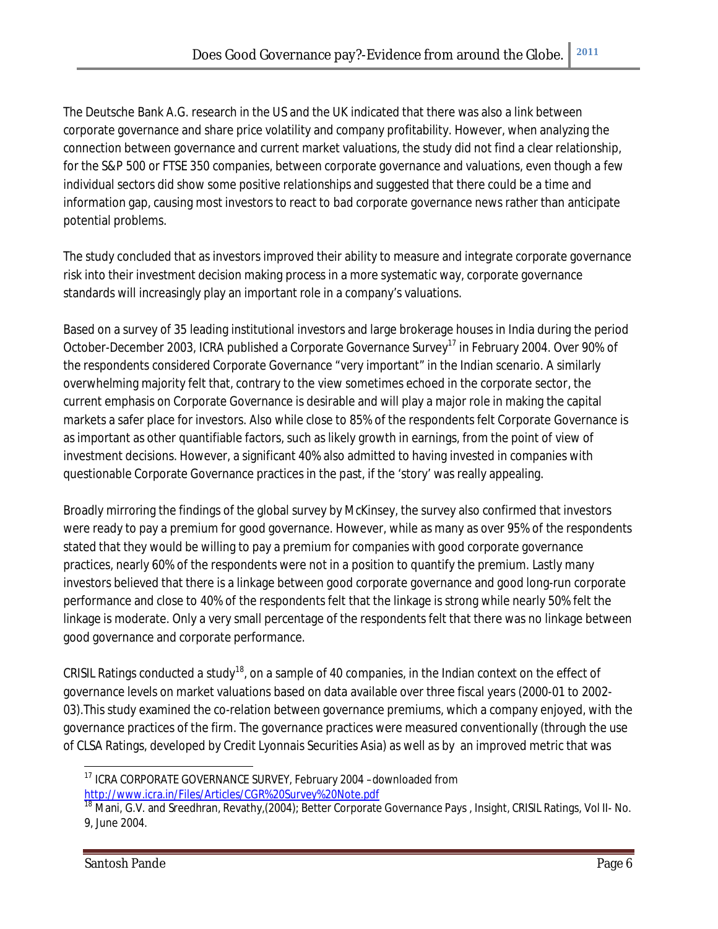The Deutsche Bank A.G. research in the US and the UK indicated that there was also a link between corporate governance and share price volatility and company profitability. However, when analyzing the connection between governance and current market valuations, the study did not find a clear relationship, for the S&P 500 or FTSE 350 companies, between corporate governance and valuations, even though a few individual sectors did show some positive relationships and suggested that there could be a time and information gap, causing most investors to react to bad corporate governance news rather than anticipate potential problems.

The study concluded that as investors improved their ability to measure and integrate corporate governance risk into their investment decision making process in a more systematic way, corporate governance standards will increasingly play an important role in a company's valuations.

Based on a survey of 35 leading institutional investors and large brokerage houses in India during the period October-December 2003, ICRA published a Corporate Governance Survey<sup>17</sup> in February 2004. Over 90% of the respondents considered Corporate Governance "very important" in the Indian scenario. A similarly overwhelming majority felt that, contrary to the view sometimes echoed in the corporate sector, the current emphasis on Corporate Governance is desirable and will play a major role in making the capital markets a safer place for investors. Also while close to 85% of the respondents felt Corporate Governance is as important as other quantifiable factors, such as likely growth in earnings, from the point of view of investment decisions. However, a significant 40% also admitted to having invested in companies with questionable Corporate Governance practices in the past, if the 'story' was really appealing.

Broadly mirroring the findings of the global survey by McKinsey, the survey also confirmed that investors were ready to pay a premium for good governance. However, while as many as over 95% of the respondents stated that they would be willing to pay a premium for companies with good corporate governance practices, nearly 60% of the respondents were not in a position to quantify the premium. Lastly many investors believed that there is a linkage between good corporate governance and good long-run corporate performance and close to 40% of the respondents felt that the linkage is strong while nearly 50% felt the linkage is moderate. Only a very small percentage of the respondents felt that there was no linkage between good governance and corporate performance.

CRISIL Ratings conducted a study $^{18}$ , on a sample of 40 companies, in the Indian context on the effect of governance levels on market valuations based on data available over three fiscal years (2000-01 to 2002- 03).This study examined the co-relation between governance premiums, which a company enjoyed, with the governance practices of the firm. The governance practices were measured conventionally (through the use of CLSA Ratings, developed by Credit Lyonnais Securities Asia) as well as by an improved metric that was

 $\overline{a}$ <sup>17</sup> ICRA CORPORATE GOVERNANCE SURVEY, February 2004 -downloaded from http://www.icra.in/Files/Articles/CGR%20Survey%20Note.pdf

<sup>&</sup>lt;sup>18</sup> Mani, G.V. and Sreedhran, Revathy, (2004); Better Corporate Governance Pays, Insight, CRISIL Ratings, Vol II- No. 9, June 2004.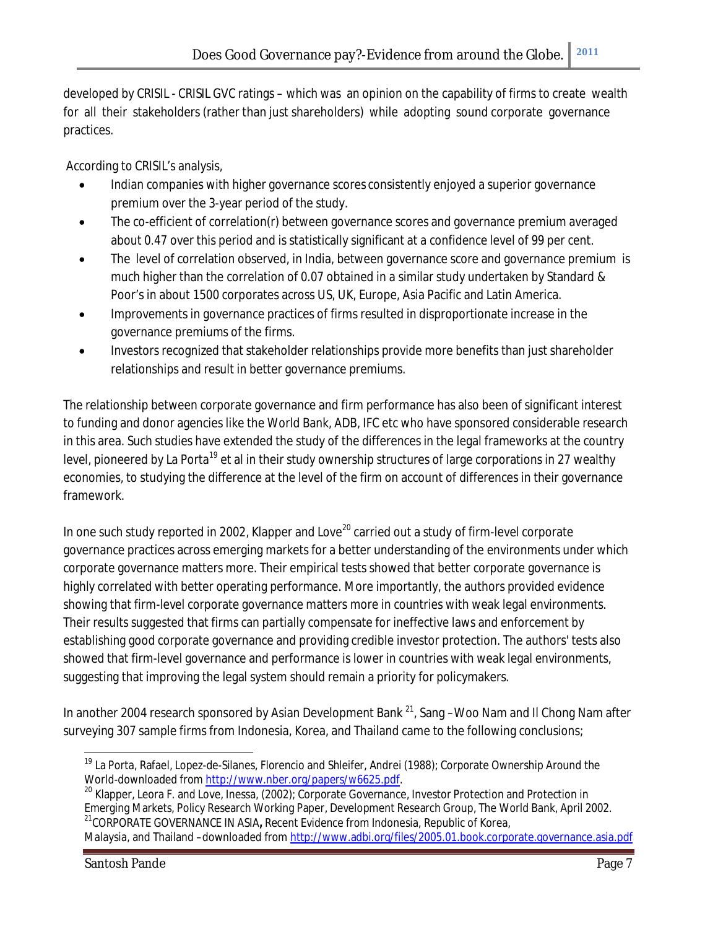developed by CRISIL - CRISIL GVC ratings – which was an opinion on the capability of firms to create wealth for all their stakeholders (rather than just shareholders) while adopting sound corporate governance practices.

According to CRISIL's analysis,

- Indian companies with higher governance scores consistently enjoyed a superior governance premium over the 3-year period of the study.
- The co-efficient of correlation(r) between governance scores and governance premium averaged about 0.47 over this period and is statistically significant at a confidence level of 99 per cent.
- The level of correlation observed, in India, between governance score and governance premium is much higher than the correlation of 0.07 obtained in a similar study undertaken by Standard & Poor's in about 1500 corporates across US, UK, Europe, Asia Pacific and Latin America.
- Improvements in governance practices of firms resulted in disproportionate increase in the governance premiums of the firms.
- Investors recognized that stakeholder relationships provide more benefits than just shareholder relationships and result in better governance premiums.

The relationship between corporate governance and firm performance has also been of significant interest to funding and donor agencies like the World Bank, ADB, IFC etc who have sponsored considerable research in this area. Such studies have extended the study of the differences in the legal frameworks at the country level, pioneered by La Porta<sup>19</sup> et al in their study ownership structures of large corporations in 27 wealthy economies, to studying the difference at the level of the firm on account of differences in their governance framework.

In one such study reported in 2002, Klapper and Love<sup>20</sup> carried out a study of firm-level corporate governance practices across emerging markets for a better understanding of the environments under which corporate governance matters more. Their empirical tests showed that better corporate governance is highly correlated with better operating performance. More importantly, the authors provided evidence showing that firm-level corporate governance matters more in countries with weak legal environments. Their results suggested that firms can partially compensate for ineffective laws and enforcement by establishing good corporate governance and providing credible investor protection. The authors' tests also showed that firm-level governance and performance is lower in countries with weak legal environments, suggesting that improving the legal system should remain a priority for policymakers.

In another 2004 research sponsored by Asian Development Bank <sup>21</sup>, Sang –Woo Nam and II Chong Nam after surveying 307 sample firms from Indonesia, Korea, and Thailand came to the following conclusions;

 $\overline{\phantom{a}}$ <sup>19</sup> La Porta, Rafael, Lopez-de-Silanes, Florencio and Shleifer, Andrei (1988); Corporate Ownership Around the World-downloaded from http://www.nber.org/papers/w6625.pdf.

<sup>&</sup>lt;sup>20</sup> Klapper, Leora F. and Love, Inessa, (2002); Corporate Governance, Investor Protection and Protection in Emerging Markets, Policy Research Working Paper, Development Research Group, The World Bank, April 2002.

<sup>21</sup>CORPORATE GOVERNANCE IN ASIA**,** Recent Evidence from Indonesia, Republic of Korea, Malaysia, and Thailand –downloaded from http://www.adbi.org/files/2005.01.book.corporate.governance.asia.pdf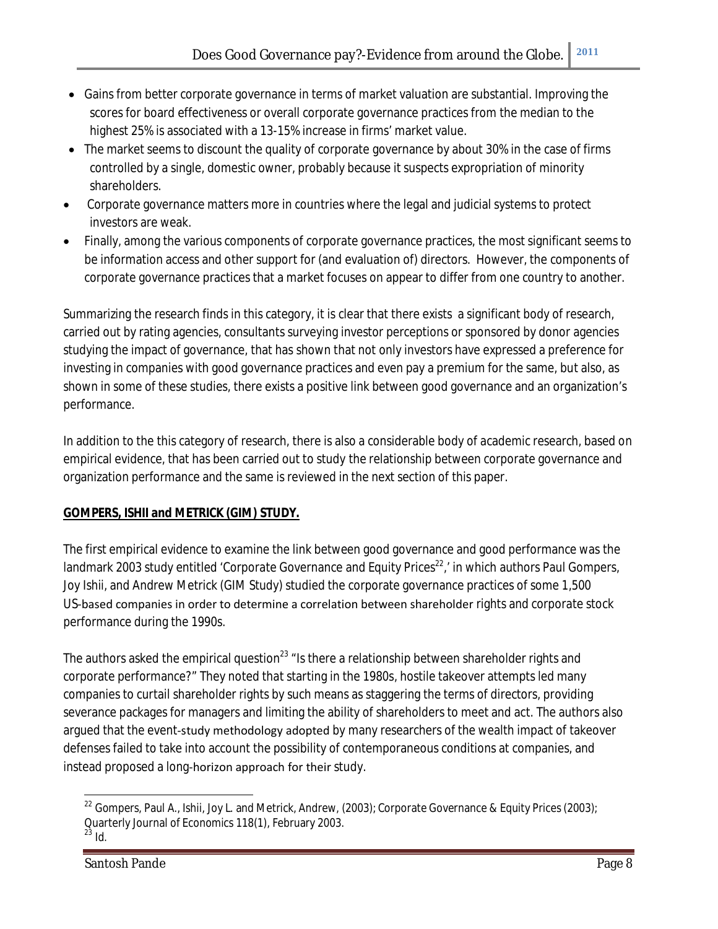- Gains from better corporate governance in terms of market valuation are substantial. Improving the scores for board effectiveness or overall corporate governance practices from the median to the highest 25% is associated with a 13-15% increase in firms' market value.
- The market seems to discount the quality of corporate governance by about 30% in the case of firms controlled by a single, domestic owner, probably because it suspects expropriation of minority shareholders.
- Corporate governance matters more in countries where the legal and judicial systems to protect investors are weak.
- Finally, among the various components of corporate governance practices, the most significant seems to be information access and other support for (and evaluation of) directors. However, the components of corporate governance practices that a market focuses on appear to differ from one country to another.

Summarizing the research finds in this category, it is clear that there exists a significant body of research, carried out by rating agencies, consultants surveying investor perceptions or sponsored by donor agencies studying the impact of governance, that has shown that not only investors have expressed a preference for investing in companies with good governance practices and even pay a premium for the same, but also, as shown in some of these studies, there exists a positive link between good governance and an organization's performance.

In addition to the this category of research, there is also a considerable body of academic research, based on empirical evidence, that has been carried out to study the relationship between corporate governance and organization performance and the same is reviewed in the next section of this paper.

## **GOMPERS, ISHII and METRICK (GIM) STUDY.**

The first empirical evidence to examine the link between good governance and good performance was the landmark 2003 study entitled 'Corporate Governance and Equity Prices<sup>22</sup>,' in which authors Paul Gompers, Joy Ishii, and Andrew Metrick (GIM Study) studied the corporate governance practices of some 1,500 US‐based companies in order to determine a correlation between shareholder rights and corporate stock performance during the 1990s.

The authors asked the empirical question<sup>23</sup> "Is there a relationship between shareholder rights and corporate performance?" They noted that starting in the 1980s, hostile takeover attempts led many companies to curtail shareholder rights by such means as staggering the terms of directors, providing severance packages for managers and limiting the ability of shareholders to meet and act. The authors also argued that the event‐study methodology adopted by many researchers of the wealth impact of takeover defenses failed to take into account the possibility of contemporaneous conditions at companies, and instead proposed a long‐horizon approach for their study.

 $\overline{a}$  $^{22}$  Gompers, Paul A., Ishii, Joy L. and Metrick, Andrew, (2003); Corporate Governance & Equity Prices (2003); Quarterly Journal of Economics 118(1), February 2003.  $^{23}$  Id.

Santosh Pande Page 8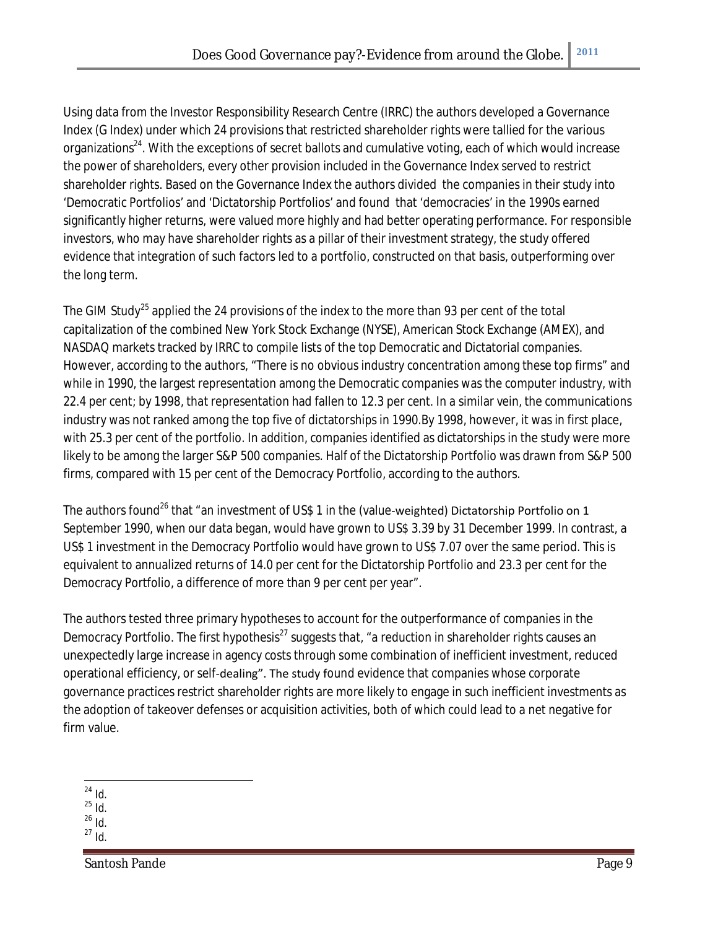Using data from the Investor Responsibility Research Centre (IRRC) the authors developed a Governance Index (G Index) under which 24 provisions that restricted shareholder rights were tallied for the various organizations<sup>24</sup>. With the exceptions of secret ballots and cumulative voting, each of which would increase the power of shareholders, every other provision included in the Governance Index served to restrict shareholder rights. Based on the Governance Index the authors divided the companies in their study into 'Democratic Portfolios' and 'Dictatorship Portfolios' and found that 'democracies' in the 1990s earned significantly higher returns, were valued more highly and had better operating performance. For responsible investors, who may have shareholder rights as a pillar of their investment strategy, the study offered evidence that integration of such factors led to a portfolio, constructed on that basis, outperforming over the long term.

The GIM Study<sup>25</sup> applied the 24 provisions of the index to the more than 93 per cent of the total capitalization of the combined New York Stock Exchange (NYSE), American Stock Exchange (AMEX), and NASDAQ markets tracked by IRRC to compile lists of the top Democratic and Dictatorial companies. However, according to the authors, "There is no obvious industry concentration among these top firms" and while in 1990, the largest representation among the Democratic companies was the computer industry, with 22.4 per cent; by 1998, that representation had fallen to 12.3 per cent. In a similar vein, the communications industry was not ranked among the top five of dictatorships in 1990.By 1998, however, it was in first place, with 25.3 per cent of the portfolio. In addition, companies identified as dictatorships in the study were more likely to be among the larger S&P 500 companies. Half of the Dictatorship Portfolio was drawn from S&P 500 firms, compared with 15 per cent of the Democracy Portfolio, according to the authors.

The authors found<sup>26</sup> that "an investment of US\$ 1 in the (value-weighted) Dictatorship Portfolio on 1 September 1990, when our data began, would have grown to US\$ 3.39 by 31 December 1999. In contrast, a US\$ 1 investment in the Democracy Portfolio would have grown to US\$ 7.07 over the same period. This is equivalent to annualized returns of 14.0 per cent for the Dictatorship Portfolio and 23.3 per cent for the Democracy Portfolio, a difference of more than 9 per cent per year".

The authors tested three primary hypotheses to account for the outperformance of companies in the Democracy Portfolio. The first hypothesis<sup>27</sup> suggests that, "a reduction in shareholder rights causes an unexpectedly large increase in agency costs through some combination of inefficient investment, reduced operational efficiency, or self‐dealing". The study found evidence that companies whose corporate governance practices restrict shareholder rights are more likely to engage in such inefficient investments as the adoption of takeover defenses or acquisition activities, both of which could lead to a net negative for firm value.

- $\overline{a}$  $^{24}$  Id.
- $^{25}$  Id.
- $^{26}$  Id.
- $^{27}$   $\dot{\mathsf{Id}}$ .

Santosh Pande Page 9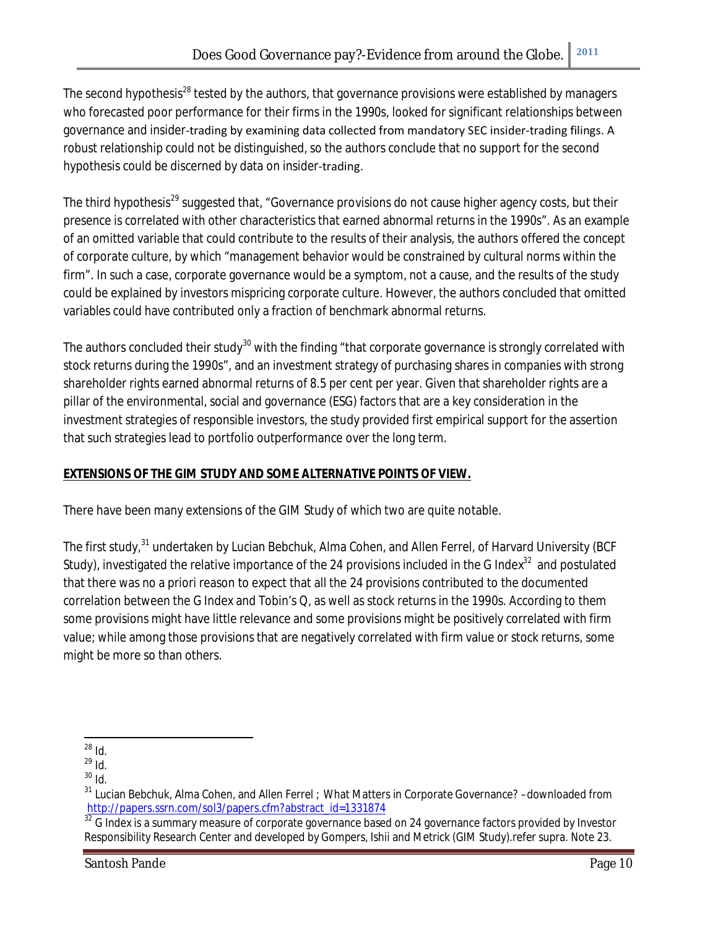The second hypothesis<sup>28</sup> tested by the authors, that governance provisions were established by managers who forecasted poor performance for their firms in the 1990s, looked for significant relationships between governance and insider‐trading by examining data collected from mandatory SEC insider‐trading filings. A robust relationship could not be distinguished, so the authors conclude that no support for the second hypothesis could be discerned by data on insider‐trading.

The third hypothesis<sup>29</sup> suggested that, "Governance provisions do not cause higher agency costs, but their presence is correlated with other characteristics that earned abnormal returns in the 1990s". As an example of an omitted variable that could contribute to the results of their analysis, the authors offered the concept of corporate culture, by which "management behavior would be constrained by cultural norms within the firm". In such a case, corporate governance would be a symptom, not a cause, and the results of the study could be explained by investors mispricing corporate culture. However, the authors concluded that omitted variables could have contributed only a fraction of benchmark abnormal returns.

The authors concluded their study<sup>30</sup> with the finding "that corporate governance is strongly correlated with stock returns during the 1990s", and an investment strategy of purchasing shares in companies with strong shareholder rights earned abnormal returns of 8.5 per cent per year. Given that shareholder rights are a pillar of the environmental, social and governance (ESG) factors that are a key consideration in the investment strategies of responsible investors, the study provided first empirical support for the assertion that such strategies lead to portfolio outperformance over the long term.

## **EXTENSIONS OF THE GIM STUDY AND SOME ALTERNATIVE POINTS OF VIEW.**

There have been many extensions of the GIM Study of which two are quite notable.

The first study,<sup>31</sup> undertaken by Lucian Bebchuk, Alma Cohen, and Allen Ferrel, of Harvard University (BCF Study), investigated the relative importance of the 24 provisions included in the G Index<sup>32</sup> and postulated that there was no a priori reason to expect that all the 24 provisions contributed to the documented correlation between the G Index and Tobin's Q, as well as stock returns in the 1990s. According to them some provisions might have little relevance and some provisions might be positively correlated with firm value; while among those provisions that are negatively correlated with firm value or stock returns, some might be more so than others.

 $\overline{a}$  $^{28}$  Id.

 $29$  Id.

 $30$   $\overline{1}$ d.

<sup>&</sup>lt;sup>31</sup> Lucian Bebchuk, Alma Cohen, and Allen Ferrel ; What Matters in Corporate Governance? -downloaded from http://papers.ssrn.com/sol3/papers.cfm?abstract\_id=1331874

<sup>32</sup> G Index is a summary measure of corporate governance based on 24 governance factors provided by Investor Responsibility Research Center and developed by Gompers, Ishii and Metrick (GIM Study).refer supra. Note 23.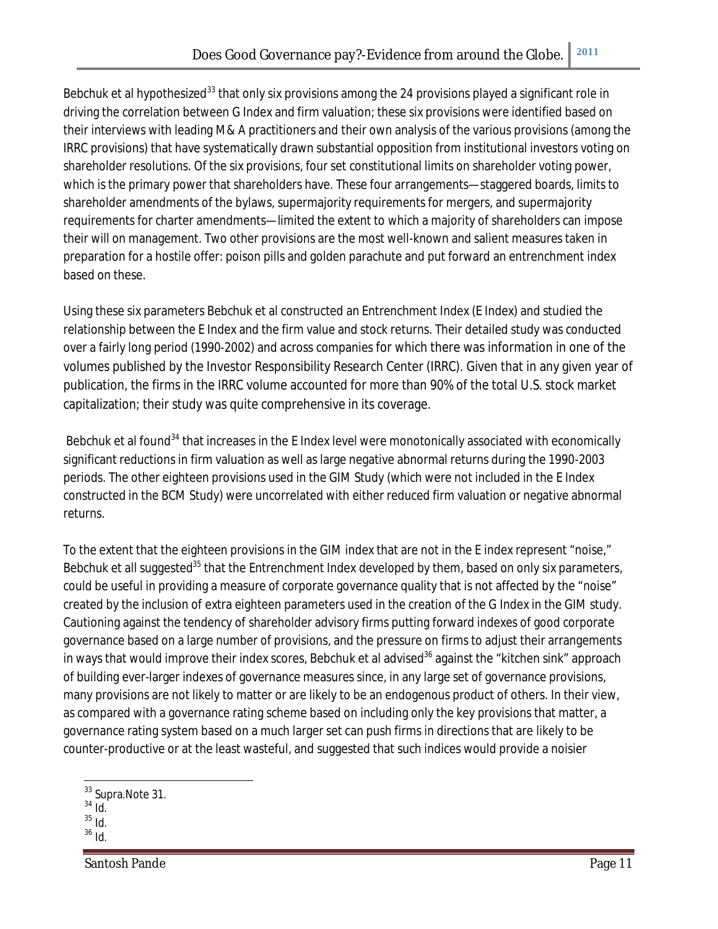Bebchuk et al hypothesized $^{\rm 33}$  that only six provisions among the 24 provisions played a significant role in driving the correlation between G Index and firm valuation; these six provisions were identified based on their interviews with leading M& A practitioners and their own analysis of the various provisions (among the IRRC provisions) that have systematically drawn substantial opposition from institutional investors voting on shareholder resolutions. Of the six provisions, four set constitutional limits on shareholder voting power, which is the primary power that shareholders have. These four arrangements—staggered boards, limits to shareholder amendments of the bylaws, supermajority requirements for mergers, and supermajority requirements for charter amendments—limited the extent to which a majority of shareholders can impose their will on management. Two other provisions are the most well-known and salient measures taken in preparation for a hostile offer: poison pills and golden parachute and put forward an entrenchment index based on these.

Using these six parameters Bebchuk et al constructed an Entrenchment Index (E Index) and studied the relationship between the E Index and the firm value and stock returns. Their detailed study was conducted over a fairly long period (1990-2002) and across companies for which there was information in one of the volumes published by the Investor Responsibility Research Center (IRRC). Given that in any given year of publication, the firms in the IRRC volume accounted for more than 90% of the total U.S. stock market capitalization; their study was quite comprehensive in its coverage.

Bebchuk et al found<sup>34</sup> that increases in the E Index level were monotonically associated with economically significant reductions in firm valuation as well as large negative abnormal returns during the 1990-2003 periods. The other eighteen provisions used in the GIM Study (which were not included in the E Index constructed in the BCM Study) were uncorrelated with either reduced firm valuation or negative abnormal returns.

To the extent that the eighteen provisions in the GIM index that are not in the E index represent "noise," Bebchuk et all suggested<sup>35</sup> that the Entrenchment Index developed by them, based on only six parameters, could be useful in providing a measure of corporate governance quality that is not affected by the "noise" created by the inclusion of extra eighteen parameters used in the creation of the G Index in the GIM study. Cautioning against the tendency of shareholder advisory firms putting forward indexes of good corporate governance based on a large number of provisions, and the pressure on firms to adjust their arrangements in ways that would improve their index scores, Bebchuk et al advised<sup>36</sup> against the "kitchen sink" approach of building ever-larger indexes of governance measures since, in any large set of governance provisions, many provisions are not likely to matter or are likely to be an endogenous product of others. In their view, as compared with a governance rating scheme based on including only the key provisions that matter, a governance rating system based on a much larger set can push firms in directions that are likely to be counter-productive or at the least wasteful, and suggested that such indices would provide a noisier

Santosh Pande Page 11

 $\overline{a}$ <sup>33</sup> Supra.Note 31.

 $34$  Id.

 $35$   $\overline{1}$ d.

 $36$  Id.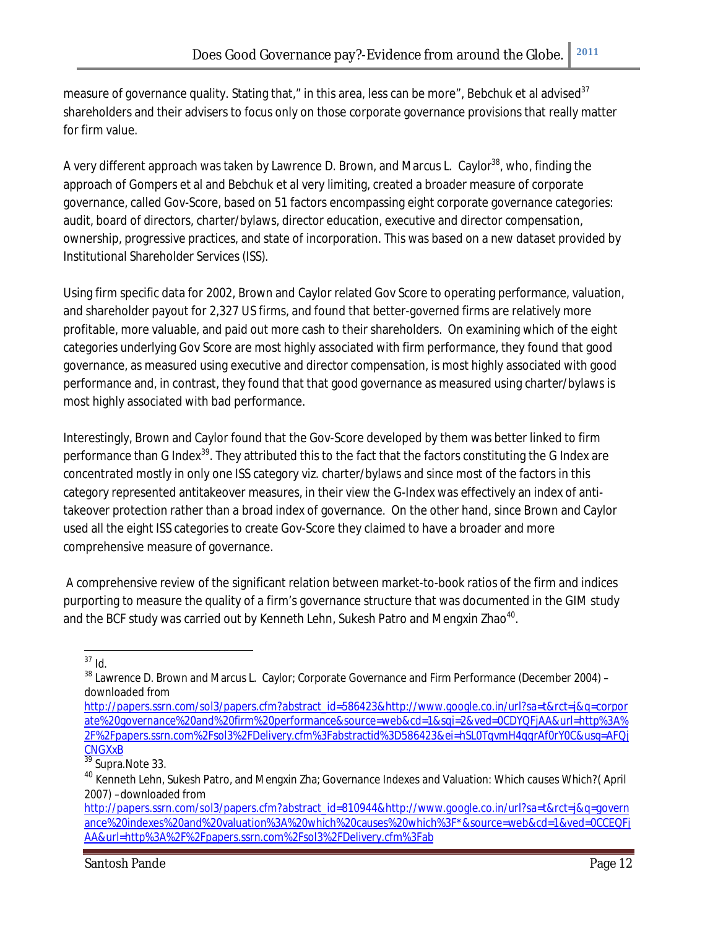measure of governance quality. Stating that," in this area, less can be more", Bebchuk et al advised $^{\rm 37}$ shareholders and their advisers to focus only on those corporate governance provisions that really matter for firm value.

A very different approach was taken by Lawrence D. Brown, and Marcus L. Caylor<sup>38</sup>, who, finding the approach of Gompers et al and Bebchuk et al very limiting, created a broader measure of corporate governance, called Gov-Score, based on 51 factors encompassing eight corporate governance categories: audit, board of directors, charter/bylaws, director education, executive and director compensation, ownership, progressive practices, and state of incorporation. This was based on a new dataset provided by Institutional Shareholder Services (ISS).

Using firm specific data for 2002, Brown and Caylor related Gov Score to operating performance, valuation, and shareholder payout for 2,327 US firms, and found that better-governed firms are relatively more profitable, more valuable, and paid out more cash to their shareholders. On examining which of the eight categories underlying Gov Score are most highly associated with firm performance, they found that good governance, as measured using executive and director compensation, is most highly associated with good performance and, in contrast, they found that that good governance as measured using charter/bylaws is most highly associated with *bad* performance.

Interestingly, Brown and Caylor found that the Gov-Score developed by them was better linked to firm performance than G Index<sup>39</sup>. They attributed this to the fact that the factors constituting the G Index are concentrated mostly in only one ISS category viz. charter/bylaws and since most of the factors in this category represented antitakeover measures, in their view the G-Index was effectively an index of antitakeover protection rather than a broad index of governance. On the other hand, since Brown and Caylor used all the eight ISS categories to create Gov-Score they claimed to have a broader and more comprehensive measure of governance.

A comprehensive review of the significant relation between market-to-book ratios of the firm and indices purporting to measure the quality of a firm's governance structure that was documented in the GIM study and the BCF study was carried out by Kenneth Lehn, Sukesh Patro and Mengxin Zhao $^{40}\!$ .

 $\overline{\phantom{a}}$  $37$  Id.

<sup>&</sup>lt;sup>38</sup> Lawrence D. Brown and Marcus L. Caylor; Corporate Governance and Firm Performance (December 2004) downloaded from

http://papers.ssrn.com/sol3/papers.cfm?abstract\_id=586423&http://www.google.co.in/url?sa=t&rct=j&q=corpor ate%20governance%20and%20firm%20performance&source=web&cd=1&sqi=2&ved=0CDYQFjAA&url=http%3A% 2F%2Fpapers.ssrn.com%2Fsol3%2FDelivery.cfm%3Fabstractid%3D586423&ei=hSL0TqvmH4qqrAf0rY0C&usg=AFQj **CNGXxB** 

<sup>&</sup>lt;sup>39</sup> Supra.Note 33.

<sup>&</sup>lt;sup>40</sup> Kenneth Lehn, Sukesh Patro, and Mengxin Zha; Governance Indexes and Valuation: Which causes Which?(April 2007) –downloaded from

http://papers.ssrn.com/sol3/papers.cfm?abstract\_id=810944&http://www.google.co.in/url?sa=t&rct=j&q=govern ance%20indexes%20and%20valuation%3A%20which%20causes%20which%3F\*&source=web&cd=1&ved=0CCEQFj AA&url=http%3A%2F%2Fpapers.ssrn.com%2Fsol3%2FDelivery.cfm%3Fab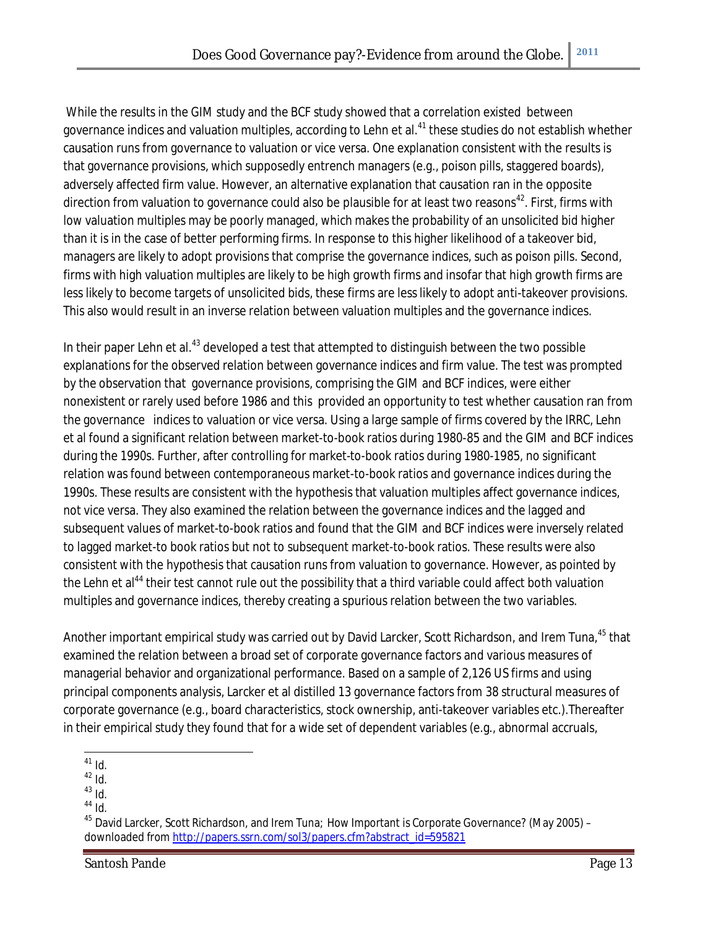While the results in the GIM study and the BCF study showed that a correlation existed between governance indices and valuation multiples, according to Lehn et al.<sup>41</sup> these studies do not establish whether causation runs from governance to valuation or vice versa. One explanation consistent with the results is that governance provisions, which supposedly entrench managers (e.g., poison pills, staggered boards), adversely affected firm value. However, an alternative explanation that causation ran in the opposite direction from valuation to governance could also be plausible for at least two reasons<sup>42</sup>. First, firms with low valuation multiples may be poorly managed, which makes the probability of an unsolicited bid higher than it is in the case of better performing firms. In response to this higher likelihood of a takeover bid, managers are likely to adopt provisions that comprise the governance indices, such as poison pills. Second, firms with high valuation multiples are likely to be high growth firms and insofar that high growth firms are less likely to become targets of unsolicited bids, these firms are less likely to adopt anti-takeover provisions. This also would result in an inverse relation between valuation multiples and the governance indices.

In their paper Lehn et al.<sup>43</sup> developed a test that attempted to distinguish between the two possible explanations for the observed relation between governance indices and firm value. The test was prompted by the observation that governance provisions, comprising the GIM and BCF indices, were either nonexistent or rarely used before 1986 and this provided an opportunity to test whether causation ran from the governance indices to valuation or vice versa. Using a large sample of firms covered by the IRRC, Lehn et al found a significant relation between market-to-book ratios during 1980-85 and the GIM and BCF indices during the 1990s. Further, after controlling for market-to-book ratios during 1980-1985, no significant relation was found between contemporaneous market-to-book ratios and governance indices during the 1990s. These results are consistent with the hypothesis that valuation multiples affect governance indices, not vice versa. They also examined the relation between the governance indices and the lagged and subsequent values of market-to-book ratios and found that the GIM and BCF indices were inversely related to lagged market-to book ratios but not to subsequent market-to-book ratios. These results were also consistent with the hypothesis that causation runs from valuation to governance. However, as pointed by the Lehn et al<sup>44</sup> their test cannot rule out the possibility that a third variable could affect both valuation multiples and governance indices, thereby creating a spurious relation between the two variables.

Another important empirical study was carried out by David Larcker, Scott Richardson, and Irem Tuna,<sup>45</sup> that examined the relation between a broad set of corporate governance factors and various measures of managerial behavior and organizational performance. Based on a sample of 2,126 US firms and using principal components analysis, Larcker et al distilled 13 governance factors from 38 structural measures of corporate governance (e.g., board characteristics, stock ownership, anti-takeover variables etc.).Thereafter in their empirical study they found that for a wide set of dependent variables (e.g., abnormal accruals,

 $43 \overline{1}$ d.

 $\overline{\phantom{a}}$  $41$  Id.

 $42$   $\overline{1}$ d.

 $44$  Id.

<sup>&</sup>lt;sup>45</sup> David Larcker, Scott Richardson, and Irem Tuna; How Important is Corporate Governance? (May 2005) – downloaded from http://papers.ssrn.com/sol3/papers.cfm?abstract\_id=595821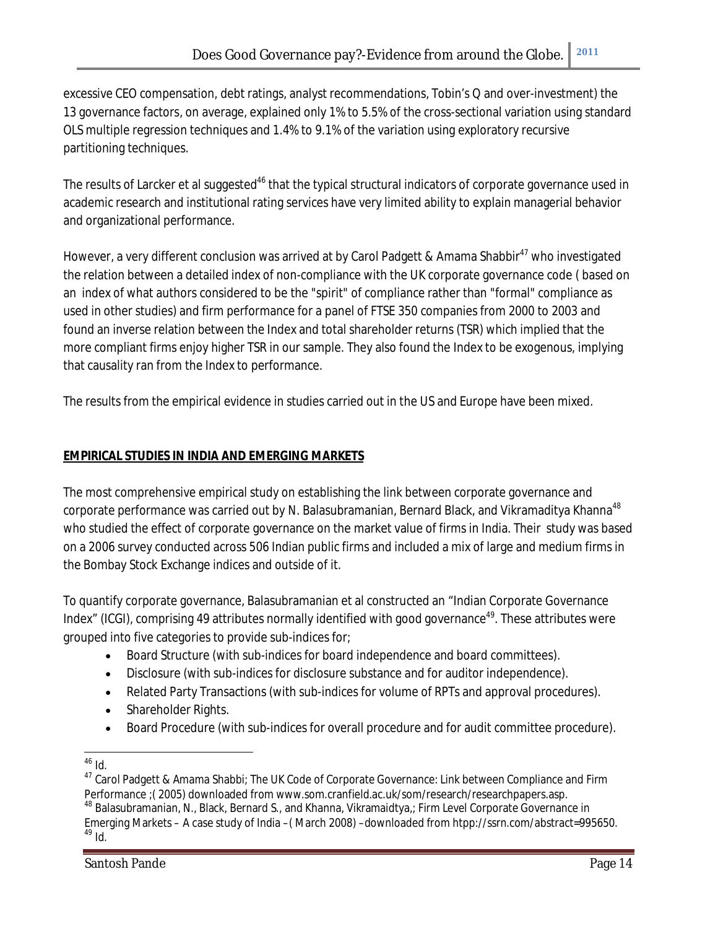excessive CEO compensation, debt ratings, analyst recommendations, Tobin's Q and over-investment) the 13 governance factors, on average, explained only 1% to 5.5% of the cross-sectional variation using standard OLS multiple regression techniques and 1.4% to 9.1% of the variation using exploratory recursive partitioning techniques.

The results of Larcker et al suggested<sup>46</sup> that the typical structural indicators of corporate governance used in academic research and institutional rating services have very limited ability to explain managerial behavior and organizational performance.

However, a very different conclusion was arrived at by Carol Padgett & Amama Shabbir<sup>47</sup> who investigated the relation between a detailed index of non-compliance with the UK corporate governance code ( based on an index of what authors considered to be the "spirit" of compliance rather than "formal" compliance as used in other studies) and firm performance for a panel of FTSE 350 companies from 2000 to 2003 and found an inverse relation between the Index and total shareholder returns (TSR) which implied that the more compliant firms enjoy higher TSR in our sample. They also found the Index to be exogenous, implying that causality ran from the Index to performance.

The results from the empirical evidence in studies carried out in the US and Europe have been mixed.

#### **EMPIRICAL STUDIES IN INDIA AND EMERGING MARKETS**

The most comprehensive empirical study on establishing the link between corporate governance and corporate performance was carried out by N. Balasubramanian, Bernard Black, and Vikramaditya Khanna<sup>48</sup> who studied the effect of corporate governance on the market value of firms in India. Their study was based on a 2006 survey conducted across 506 Indian public firms and included a mix of large and medium firms in the Bombay Stock Exchange indices and outside of it.

To quantify corporate governance, Balasubramanian et al constructed an "Indian Corporate Governance Index" (ICGI), comprising 49 attributes normally identified with good governance<sup>49</sup>. These attributes were grouped into five categories to provide sub-indices for;

- Board Structure (with sub-indices for board independence and board committees).
- Disclosure (with sub-indices for disclosure substance and for auditor independence).
- Related Party Transactions (with sub-indices for volume of RPTs and approval procedures).
- Shareholder Rights.
- Board Procedure (with sub-indices for overall procedure and for audit committee procedure).

 $\overline{\phantom{a}}$  $^{46}$  Id.

<sup>&</sup>lt;sup>47</sup> Carol Padgett & Amama Shabbi; The UK Code of Corporate Governance: Link between Compliance and Firm Performance ;( 2005) downloaded from www.som.cranfield.ac.uk/som/research/researchpapers.asp.

<sup>48</sup> Balasubramanian, N., Black, Bernard S., and Khanna, Vikramaidtya,; Firm Level Corporate Governance in Emerging Markets – A case study of India –( March 2008) –downloaded from htpp://ssrn.com/abstract=995650.  $49$  Id.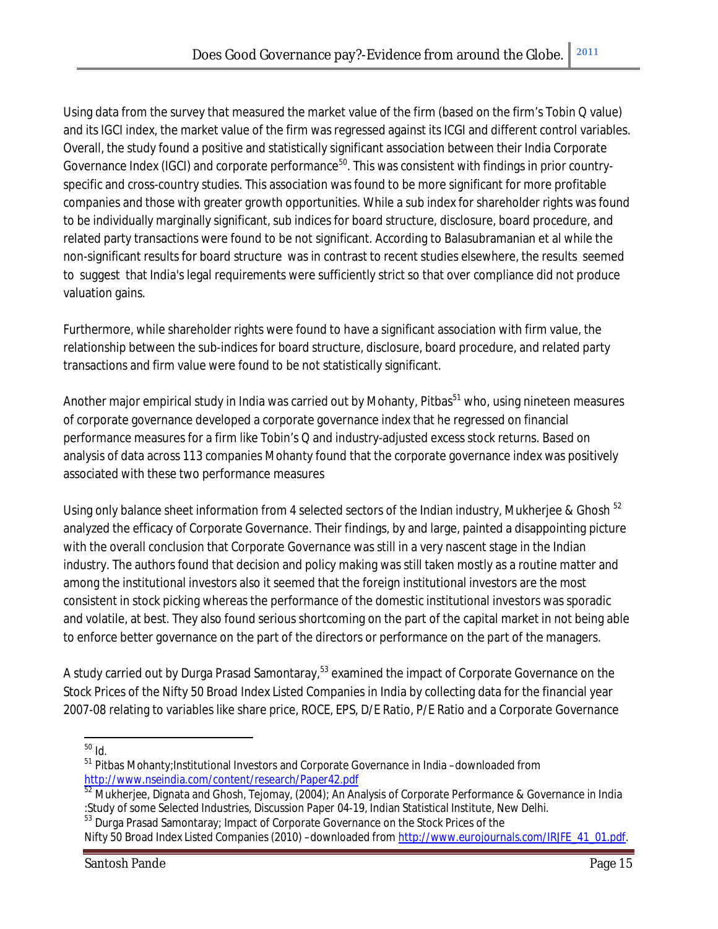Using data from the survey that measured the market value of the firm (based on the firm's Tobin Q value) and its IGCI index, the market value of the firm was regressed against its ICGI and different control variables. Overall, the study found a positive and statistically significant association between their India Corporate Governance Index (IGCI) and corporate performance<sup>50</sup>. This was consistent with findings in prior countryspecific and cross-country studies. This association was found to be more significant for more profitable companies and those with greater growth opportunities. While a sub index for shareholder rights was found to be individually marginally significant, sub indices for board structure, disclosure, board procedure, and related party transactions were found to be not significant. According to Balasubramanian et al while the non-significant results for board structure was in contrast to recent studies elsewhere, the results seemed to suggest that India's legal requirements were sufficiently strict so that over compliance did not produce valuation gains.

Furthermore, while shareholder rights were found to have a significant association with firm value, the relationship between the sub-indices for board structure, disclosure, board procedure, and related party transactions and firm value were found to be not statistically significant.

Another major empirical study in India was carried out by Mohanty, Pitbas<sup>51</sup> who, using nineteen measures of corporate governance developed a corporate governance index that he regressed on financial performance measures for a firm like Tobin's Q and industry-adjusted excess stock returns. Based on analysis of data across 113 companies Mohanty found that the corporate governance index was positively associated with these two performance measures

Using only balance sheet information from 4 selected sectors of the Indian industry, Mukherjee & Ghosh<sup>52</sup> analyzed the efficacy of Corporate Governance. Their findings, by and large, painted a disappointing picture with the overall conclusion that Corporate Governance was still in a very nascent stage in the Indian industry. The authors found that decision and policy making was still taken mostly as a routine matter and among the institutional investors also it seemed that the foreign institutional investors are the most consistent in stock picking whereas the performance of the domestic institutional investors was sporadic and volatile, at best. They also found serious shortcoming on the part of the capital market in not being able to enforce better governance on the part of the directors or performance on the part of the managers.

A study carried out by Durga Prasad Samontaray,<sup>53</sup> examined the impact of Corporate Governance on the Stock Prices of the Nifty 50 Broad Index Listed Companies in India by collecting data for the financial year 2007-08 relating to variables like share price, ROCE, EPS, D/E Ratio, P/E Ratio and a Corporate Governance

 $\overline{a}$  $^{50}$  Id.

<sup>&</sup>lt;sup>51</sup> Pitbas Mohanty; Institutional Investors and Corporate Governance in India -downloaded from http://www.nseindia.com/content/research/Paper42.pdf

<sup>&</sup>lt;sup>52</sup> Mukherjee, Dignata and Ghosh, Tejomay, (2004); An Analysis of Corporate Performance & Governance in India :Study of some Selected Industries, Discussion Paper 04-19, Indian Statistical Institute, New Delhi.

<sup>53</sup> Durga Prasad Samontaray; Impact of Corporate Governance on the Stock Prices of the Nifty 50 Broad Index Listed Companies (2010) –downloaded from http://www.eurojournals.com/IRJFE\_41\_01.pdf.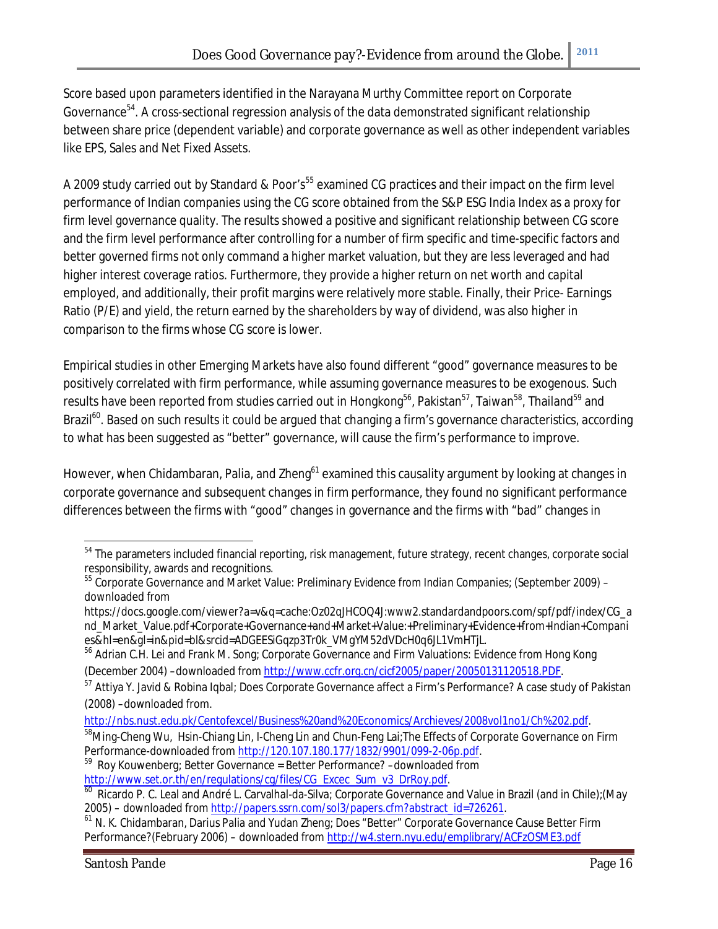Score based upon parameters identified in the Narayana Murthy Committee report on Corporate Governance<sup>54</sup>. A cross-sectional regression analysis of the data demonstrated significant relationship between share price (dependent variable) and corporate governance as well as other independent variables like EPS, Sales and Net Fixed Assets.

A 2009 study carried out by Standard & Poor's<sup>55</sup> examined CG practices and their impact on the firm level performance of Indian companies using the CG score obtained from the S&P ESG India Index as a proxy for firm level governance quality. The results showed a positive and significant relationship between CG score and the firm level performance after controlling for a number of firm specific and time-specific factors and better governed firms not only command a higher market valuation, but they are less leveraged and had higher interest coverage ratios. Furthermore, they provide a higher return on net worth and capital employed, and additionally, their profit margins were relatively more stable. Finally, their Price- Earnings Ratio (P/E) and yield, the return earned by the shareholders by way of dividend, was also higher in comparison to the firms whose CG score is lower.

Empirical studies in other Emerging Markets have also found different "good" governance measures to be positively correlated with firm performance, while assuming governance measures to be exogenous. Such results have been reported from studies carried out in Hongkong<sup>56</sup>, Pakistan<sup>57</sup>, Taiwan<sup>58</sup>, Thailand<sup>59</sup> and Brazil<sup>60</sup>. Based on such results it could be argued that changing a firm's governance characteristics, according to what has been suggested as "better" governance, will cause the firm's performance to improve.

However, when Chidambaran, Palia, and Zheng<sup>61</sup> examined this causality argument by looking at changes in corporate governance and subsequent changes in firm performance, they found no significant performance differences between the firms with "good" changes in governance and the firms with "bad" changes in

 $\overline{\phantom{a}}$ <sup>54</sup> The parameters included financial reporting, risk management, future strategy, recent changes, corporate social responsibility, awards and recognitions.

<sup>55</sup> Corporate Governance and Market Value: *Preliminary Evidence from Indian Companies*; (September 2009) – downloaded from

https://docs.google.com/viewer?a=v&q=cache:Oz02qJHCOQ4J:www2.standardandpoors.com/spf/pdf/index/CG\_a nd\_Market\_Value.pdf+Corporate+Governance+and+Market+Value:+Preliminary+Evidence+from+Indian+Compani es&hl=en&gl=in&pid=bl&srcid=ADGEESiGqzp3Tr0k\_VMgYM52dVDcH0q6JL1VmHTjL.

<sup>&</sup>lt;sup>56</sup> Adrian C.H. Lei and Frank M. Song; Corporate Governance and Firm Valuations: Evidence from Hong Kong (December 2004) –downloaded from http://www.ccfr.org.cn/cicf2005/paper/20050131120518.PDF.

<sup>&</sup>lt;sup>57</sup> Attiva Y. Javid & Robina Iqbal; Does Corporate Governance affect a Firm's Performance? A case study of Pakistan (2008) –downloaded from.

http://nbs.nust.edu.pk/Centofexcel/Business%20and%20Economics/Archieves/2008vol1no1/Ch%202.pdf.

<sup>&</sup>lt;sup>58</sup>Ming-Cheng Wu, Hsin-Chiang Lin, I-Cheng Lin and Chun-Feng Lai; The Effects of Corporate Governance on Firm Performance-downloaded from http://120.107.180.177/1832/9901/099-2-06p.pdf.

<sup>59</sup> Roy Kouwenberg; Better Governance = Better Performance? –downloaded from http://www.set.or.th/en/regulations/cg/files/CG\_Excec\_Sum\_v3\_DrRoy.pdf.

<sup>60</sup> Ricardo P. C. Leal and André L. Carvalhal-da-Silva; Corporate Governance and Value in Brazil (and in Chile);(May 2005) – downloaded from http://papers.ssrn.com/sol3/papers.cfm?abstract\_id=726261.

<sup>61</sup> N. K. Chidambaran, Darius Palia and Yudan Zheng; Does "Better" Corporate Governance Cause Better Firm Performance?(February 2006) – downloaded from http://w4.stern.nyu.edu/emplibrary/ACFzOSME3.pdf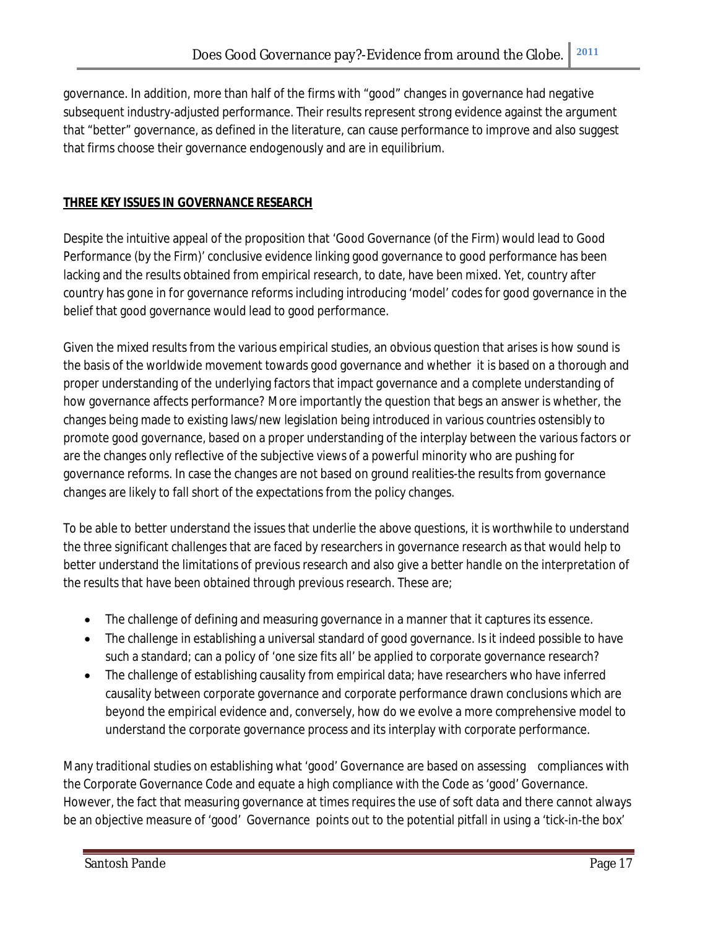governance. In addition, more than half of the firms with "good" changes in governance had negative subsequent industry-adjusted performance. Their results represent strong evidence against the argument that "better" governance, as defined in the literature, can cause performance to improve and also suggest that firms choose their governance endogenously and are in equilibrium.

#### **THREE KEY ISSUES IN GOVERNANCE RESEARCH**

Despite the intuitive appeal of the proposition that 'Good Governance (of the Firm) would lead to Good Performance (by the Firm)' conclusive evidence linking good governance to good performance has been lacking and the results obtained from empirical research, to date, have been mixed. Yet, country after country has gone in for governance reforms including introducing 'model' codes for good governance in the belief that good governance would lead to good performance.

Given the mixed results from the various empirical studies, an obvious question that arises is how sound is the basis of the worldwide movement towards good governance and whether it is based on a thorough and proper understanding of the underlying factors that impact governance and a complete understanding of how governance affects performance? More importantly the question that begs an answer is whether, the changes being made to existing laws/new legislation being introduced in various countries ostensibly to promote good governance, based on a proper understanding of the interplay between the various factors or are the changes only reflective of the subjective views of a powerful minority who are pushing for governance reforms. In case the changes are not based on ground realities-the results from governance changes are likely to fall short of the expectations from the policy changes.

To be able to better understand the issues that underlie the above questions, it is worthwhile to understand the three significant challenges that are faced by researchers in governance research as that would help to better understand the limitations of previous research and also give a better handle on the interpretation of the results that have been obtained through previous research. These are;

- The challenge of defining and measuring governance in a manner that it captures its essence.
- The challenge in establishing a universal standard of good governance. Is it indeed possible to have such a standard; can a policy of 'one size fits all' be applied to corporate governance research?
- The challenge of establishing causality from empirical data; have researchers who have inferred causality between corporate governance and corporate performance drawn conclusions which are beyond the empirical evidence and, conversely, how do we evolve a more comprehensive model to understand the corporate governance process and its interplay with corporate performance.

Many traditional studies on establishing what 'good' Governance are based on assessing compliances with the Corporate Governance Code and equate a high compliance with the Code as 'good' Governance. However, the fact that measuring governance at times requires the use of soft data and there cannot always be an objective measure of 'good' Governance points out to the potential pitfall in using a 'tick-in-the box'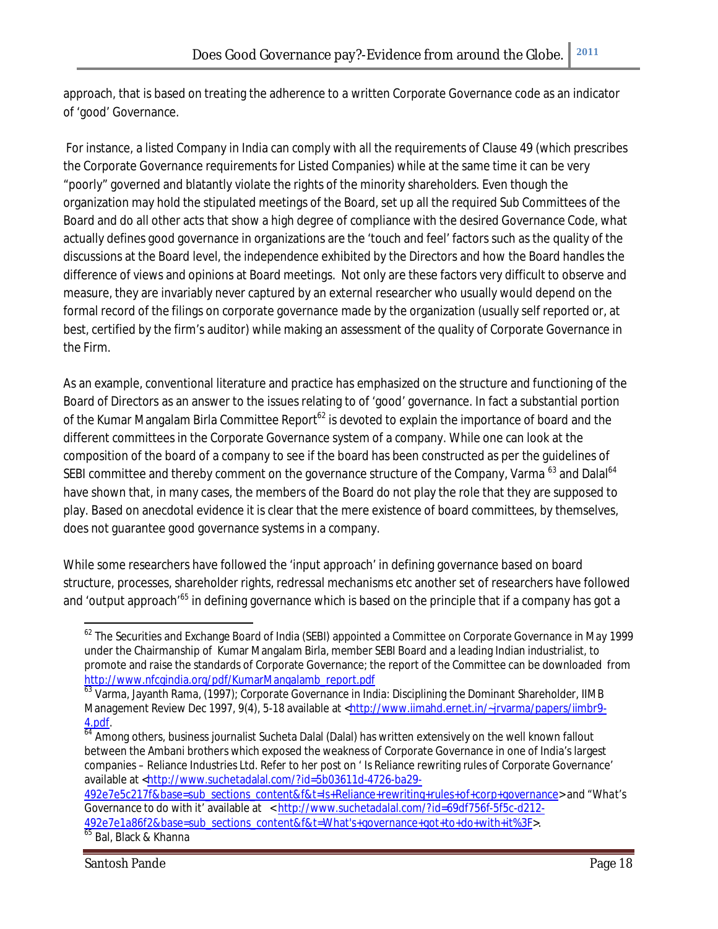approach, that is based on treating the adherence to a written Corporate Governance code as an indicator of 'good' Governance.

For instance, a listed Company in India can comply with all the requirements of Clause 49 (which prescribes the Corporate Governance requirements for Listed Companies) while at the same time it can be very "poorly" governed and blatantly violate the rights of the minority shareholders. Even though the organization may hold the stipulated meetings of the Board, set up all the required Sub Committees of the Board and do all other acts that show a high degree of compliance with the desired Governance Code, what actually defines good governance in organizations are the 'touch and feel' factors such as the quality of the discussions at the Board level, the independence exhibited by the Directors and how the Board handles the difference of views and opinions at Board meetings. Not only are these factors very difficult to observe and measure, they are invariably never captured by an external researcher who usually would depend on the formal record of the filings on corporate governance made by the organization (usually self reported or, at best, certified by the firm's auditor) while making an assessment of the quality of Corporate Governance in the Firm.

As an example, conventional literature and practice has emphasized on the structure and functioning of the Board of Directors as an answer to the issues relating to of 'good' governance. In fact a substantial portion of the Kumar Mangalam Birla Committee Report<sup>62</sup> is devoted to explain the importance of board and the different committees in the Corporate Governance system of a company. While one can look at the composition of the board of a company to see if the board has been constructed as per the guidelines of SEBI committee and thereby comment on the governance structure of the Company, Varma <sup>63</sup> and Dalal<sup>64</sup> have shown that, in many cases, the members of the Board do not play the role that they are supposed to play. Based on anecdotal evidence it is clear that the mere existence of board committees, by themselves, does not guarantee good governance systems in a company.

While some researchers have followed the 'input approach' in defining governance based on board structure, processes, shareholder rights, redressal mechanisms etc another set of researchers have followed and 'output approach'<sup>65</sup> in defining governance which is based on the principle that if a company has got a

492e7e1a86f2&base=sub\_sections\_content&f&t=What's+governance+got+to+do+with+it%3F>.

 $\overline{\phantom{a}}$ <sup>62</sup> The Securities and Exchange Board of India (SEBI) appointed a Committee on Corporate Governance in May 1999 under the Chairmanship of Kumar Mangalam Birla, member SEBI Board and a leading Indian industrialist, to promote and raise the standards of Corporate Governance; the report of the Committee can be downloaded from http://www.nfcgindia.org/pdf/KumarMangalamb\_report.pdf

<sup>63</sup> Varma, Jayanth Rama, (1997); Corporate Governance in India: Disciplining the Dominant Shareholder, IIMB Management Review Dec 1997, 9(4), 5-18 available at <http://www.iimahd.ernet.in/~jrvarma/papers/iimbr9-4.pdf.

 $\frac{64}{100}$  Among others, business journalist Sucheta Dalal (Dalal) has written extensively on the well known fallout between the Ambani brothers which exposed the weakness of Corporate Governance in one of India's largest companies – Reliance Industries Ltd. Refer to her post on *'* Is Reliance rewriting rules of Corporate Governance' available at <http://www.suchetadalal.com/?id=5b03611d-4726-ba29-

<sup>492</sup>e7e5c217f&base=sub\_sections\_content&f&t=Is+Reliance+rewriting+rules+of+corp+governance> and *"What's Governance to do with it'* available at < http://www.suchetadalal.com/?id=69df756f-5f5c-d212-

Bal, Black & Khanna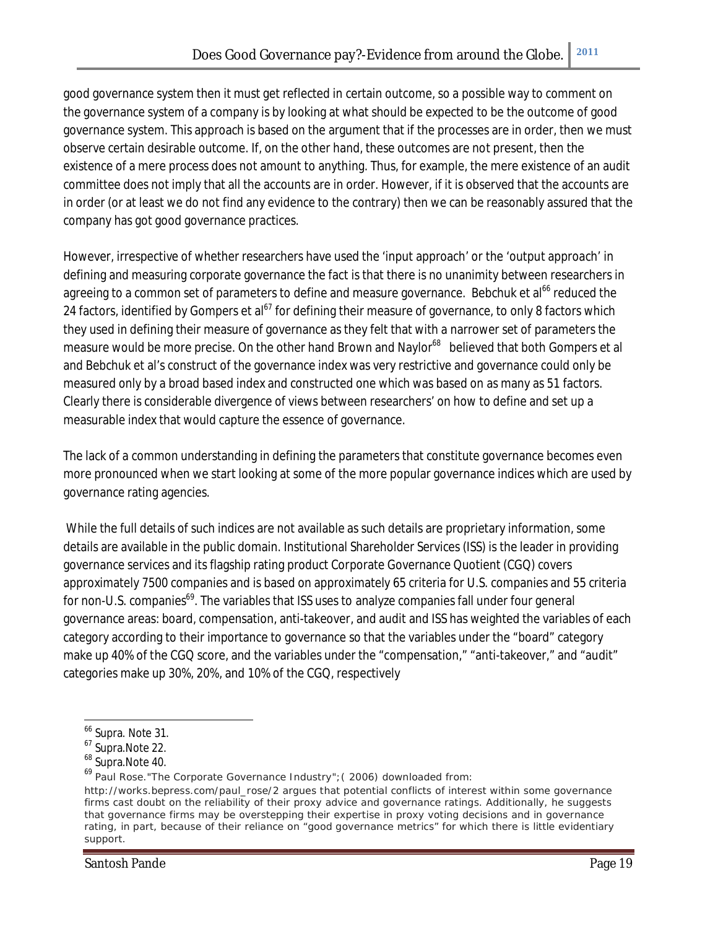good governance system then it must get reflected in certain outcome, so a possible way to comment on the governance system of a company is by looking at what should be expected to be the outcome of good governance system. This approach is based on the argument that if the processes are in order, then we must observe certain desirable outcome. If, on the other hand, these outcomes are not present, then the existence of a mere process does not amount to anything. Thus, for example, the mere existence of an audit committee does not imply that all the accounts are in order. However, if it is observed that the accounts are in order (or at least we do not find any evidence to the contrary) then we can be reasonably assured that the company has got good governance practices.

However, irrespective of whether researchers have used the 'input approach' or the 'output approach' in defining and measuring corporate governance the fact is that there is no unanimity between researchers in agreeing to a common set of parameters to define and measure governance. Bebchuk et al<sup>66</sup> reduced the 24 factors, identified by Gompers et al<sup>67</sup> for defining their measure of governance, to only 8 factors which they used in defining their measure of governance as they felt that with a narrower set of parameters the measure would be more precise. On the other hand Brown and Naylor<sup>68</sup> believed that both Gompers et al and Bebchuk et al's construct of the governance index was very restrictive and governance could only be measured only by a broad based index and constructed one which was based on as many as 51 factors. Clearly there is considerable divergence of views between researchers' on how to define and set up a measurable index that would capture the essence of governance.

The lack of a common understanding in defining the parameters that constitute governance becomes even more pronounced when we start looking at some of the more popular governance indices which are used by governance rating agencies.

While the full details of such indices are not available as such details are proprietary information, some details are available in the public domain. Institutional Shareholder Services (ISS) is the leader in providing governance services and its flagship rating product Corporate Governance Quotient (CGQ) covers approximately 7500 companies and is based on approximately 65 criteria for U.S. companies and 55 criteria for non-U.S. companies<sup>69</sup>. The variables that ISS uses to analyze companies fall under four general governance areas: board, compensation, anti-takeover, and audit and ISS has weighted the variables of each category according to their importance to governance so that the variables under the "board" category make up 40% of the CGQ score, and the variables under the "compensation," "anti-takeover," and "audit" categories make up 30%, 20%, and 10% of the CGQ, respectively

 $\overline{\phantom{a}}$ <sup>66</sup> Supra. Note 31.

<sup>67</sup> Supra.Note 22.

<sup>68</sup> Supra.Note 40.

<sup>69</sup> Paul Rose."The Corporate Governance Industry";( 2006) downloaded from:

http://works.bepress.com/paul\_rose/2 argues that potential conflicts of interest within some governance firms cast doubt on the reliability of their proxy advice and governance ratings. Additionally, he suggests that governance firms may be overstepping their expertise in proxy voting decisions and in governance rating, in part, because of their reliance on "good governance metrics" for which there is little evidentiary support.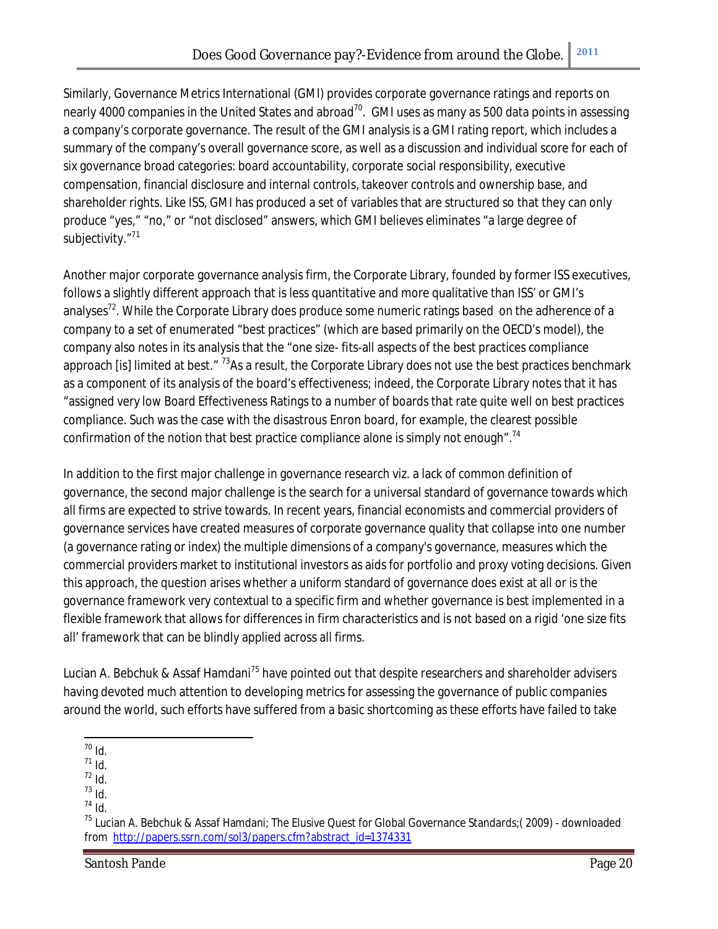Similarly, Governance Metrics International (GMI) provides corporate governance ratings and reports on nearly 4000 companies in the United States and abroad<sup>70</sup>. GMI uses as many as 500 data points in assessing a company's corporate governance. The result of the GMI analysis is a GMI rating report, which includes a summary of the company's overall governance score, as well as a discussion and individual score for each of six governance broad categories: board accountability, corporate social responsibility, executive compensation, financial disclosure and internal controls, takeover controls and ownership base, and shareholder rights. Like ISS, GMI has produced a set of variables that are structured so that they can only produce "yes," "no," or "not disclosed" answers, which GMI believes eliminates "a large degree of subjectivity."<sup>71</sup>

Another major corporate governance analysis firm, the Corporate Library, founded by former ISS executives, follows a slightly different approach that is less quantitative and more qualitative than ISS' or GMI's analyses<sup>72</sup>. While the Corporate Library does produce some numeric ratings based on the adherence of a company to a set of enumerated "best practices" (which are based primarily on the OECD's model), the company also notes in its analysis that the "one size- fits-all aspects of the best practices compliance approach [is] limited at best." <sup>73</sup>As a result, the Corporate Library does not use the best practices benchmark as a component of its analysis of the board's effectiveness; indeed, the Corporate Library notes that it has "assigned very low Board Effectiveness Ratings to a number of boards that rate quite well on best practices compliance. Such was the case with the disastrous Enron board, for example, the clearest possible confirmation of the notion that best practice compliance alone is simply not enough".<sup>74</sup>

In addition to the first major challenge in governance research viz. a lack of common definition of governance, the second major challenge is the search for a universal standard of governance towards which all firms are expected to strive towards. In recent years, financial economists and commercial providers of governance services have created measures of corporate governance quality that collapse into one number (a governance rating or index) the multiple dimensions of a company's governance, measures which the commercial providers market to institutional investors as aids for portfolio and proxy voting decisions. Given this approach, the question arises whether a uniform standard of governance does exist at all or is the governance framework very contextual to a specific firm and whether governance is best implemented in a flexible framework that allows for differences in firm characteristics and is not based on a rigid 'one size fits all' framework that can be blindly applied across all firms.

Lucian A. Bebchuk & Assaf Hamdani<sup>75</sup> have pointed out that despite researchers and shareholder advisers having devoted much attention to developing metrics for assessing the governance of public companies around the world, such efforts have suffered from a basic shortcoming as these efforts have failed to take

- $72 \overline{10}$ .
- $73$  Id.
- $74$  Id.

 $\overline{a}$  $10$ <sup>70</sup> Id.

 $^{71}$  Id.

<sup>&</sup>lt;sup>75</sup> Lucian A. Bebchuk & Assaf Hamdani; The Elusive Quest for Global Governance Standards;( 2009) - downloaded from http://papers.ssrn.com/sol3/papers.cfm?abstract\_id=1374331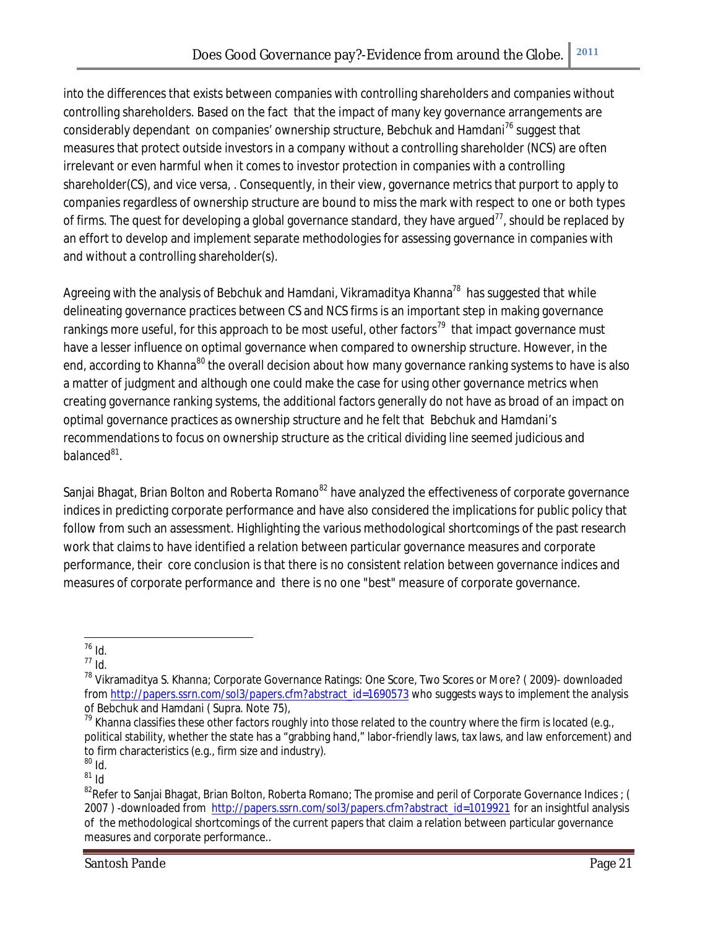into the differences that exists between companies with controlling shareholders and companies without controlling shareholders. Based on the fact that the impact of many key governance arrangements are considerably dependant on companies' ownership structure, Bebchuk and Hamdani<sup>76</sup> suggest that measures that protect outside investors in a company without a controlling shareholder (NCS) are often irrelevant or even harmful when it comes to investor protection in companies with a controlling shareholder(CS), and vice versa, . Consequently, in their view, governance metrics that purport to apply to companies regardless of ownership structure are bound to miss the mark with respect to one or both types of firms. The quest for developing a global governance standard, they have argued<sup>77</sup>, should be replaced by an effort to develop and implement separate methodologies for assessing governance in companies with and without a controlling shareholder(s).

Agreeing with the analysis of Bebchuk and Hamdani, Vikramaditya Khanna $^{\prime 8}$  has suggested that while delineating governance practices between CS and NCS firms is an important step in making governance rankings more useful, for this approach to be most useful, other factors<sup>79</sup> that impact governance must have a lesser influence on optimal governance when compared to ownership structure. However, in the end, according to Khanna<sup>80</sup> the overall decision about how many governance ranking systems to have is also a matter of judgment and although one could make the case for using other governance metrics when creating governance ranking systems, the additional factors generally do not have as broad of an impact on optimal governance practices as ownership structure and he felt that Bebchuk and Hamdani's recommendations to focus on ownership structure as the critical dividing line seemed judicious and balanced<sup>81</sup>.

Saniai Bhagat, Brian Bolton and Roberta Romano<sup>82</sup> have analyzed the effectiveness of corporate governance indices in predicting corporate performance and have also considered the implications for public policy that follow from such an assessment. Highlighting the various methodological shortcomings of the past research work that claims to have identified a relation between particular governance measures and corporate performance, their core conclusion is that there is no consistent relation between governance indices and measures of corporate performance and there is no one "best" measure of corporate governance.

 $\overline{a}$  $^{76}$  Id.

<sup>77</sup> Id.

<sup>&</sup>lt;sup>78</sup> Vikramaditya S. Khanna; Corporate Governance Ratings: One Score, Two Scores or More? (2009)- downloaded from http://papers.ssrn.com/sol3/papers.cfm?abstract\_id=1690573 who suggests ways to implement the analysis of Bebchuk and Hamdani ( Supra. Note 75),

 $^{79}$  Khanna classifies these other factors roughly into those related to the country where the firm is located (e.g., political stability, whether the state has a "grabbing hand," labor-friendly laws, tax laws, and law enforcement) and to firm characteristics (e.g., firm size and industry).

 $80$  Id.

 $^{81}$  Id

<sup>&</sup>lt;sup>82</sup>Refer to Sanjai Bhagat, Brian Bolton, Roberta Romano; The promise and peril of Corporate Governance Indices ; ( 2007 ) -downloaded from http://papers.ssrn.com/sol3/papers.cfm?abstract\_id=1019921 for an insightful analysis of the methodological shortcomings of the current papers that claim a relation between particular governance measures and corporate performance..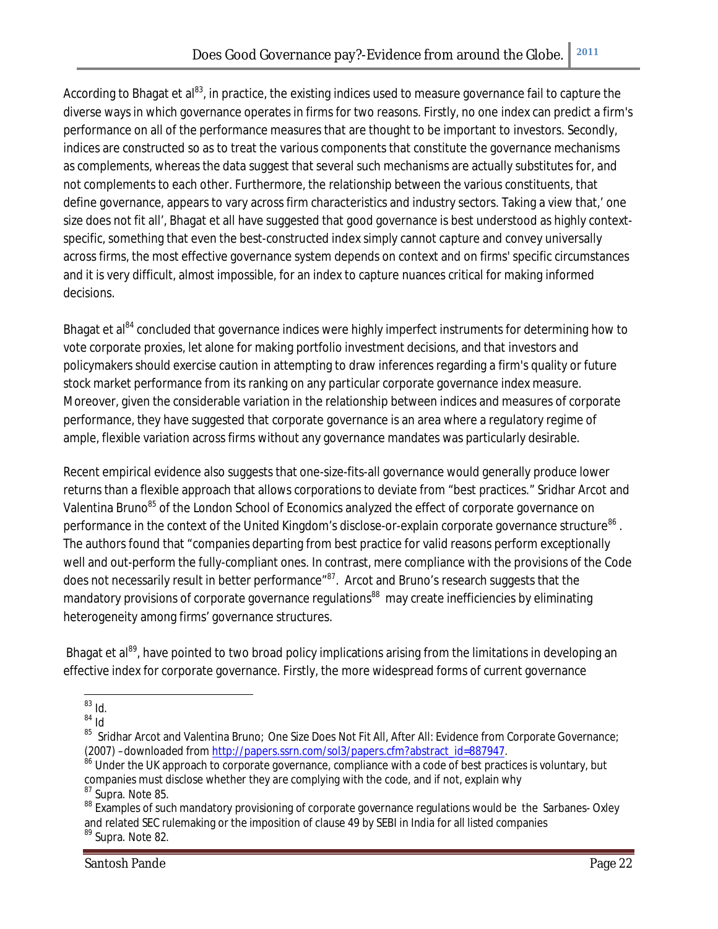According to Bhagat et al<sup>83</sup>, in practice, the existing indices used to measure governance fail to capture the diverse ways in which governance operates in firms for two reasons. Firstly, no one index can predict a firm's performance on all of the performance measures that are thought to be important to investors. Secondly, indices are constructed so as to treat the various components that constitute the governance mechanisms as complements, whereas the data suggest that several such mechanisms are actually substitutes for, and not complements to each other. Furthermore, the relationship between the various constituents, that define governance, appears to vary across firm characteristics and industry sectors. Taking a view that,' one size does not fit all', Bhagat et all have suggested that good governance is best understood as highly contextspecific, something that even the best-constructed index simply cannot capture and convey universally across firms, the most effective governance system depends on context and on firms' specific circumstances and it is very difficult, almost impossible, for an index to capture nuances critical for making informed decisions.

Bhagat et al<sup>84</sup> concluded that governance indices were highly imperfect instruments for determining how to vote corporate proxies, let alone for making portfolio investment decisions, and that investors and policymakers should exercise caution in attempting to draw inferences regarding a firm's quality or future stock market performance from its ranking on any particular corporate governance index measure. Moreover, given the considerable variation in the relationship between indices and measures of corporate performance, they have suggested that corporate governance is an area where a regulatory regime of ample, flexible variation across firms without any governance mandates was particularly desirable.

Recent empirical evidence also suggests that one-size-fits-all governance would generally produce lower returns than a flexible approach that allows corporations to deviate from "best practices." Sridhar Arcot and Valentina Bruno<sup>85</sup> of the London School of Economics analyzed the effect of corporate governance on performance in the context of the United Kingdom's disclose-or-explain corporate governance structure $^{\rm 86}$  . The authors found that "companies departing from best practice for valid reasons perform exceptionally well and out-perform the fully-compliant ones. In contrast, mere compliance with the provisions of the Code does not necessarily result in better performance" $^{87}$ . Arcot and Bruno's research suggests that the mandatory provisions of corporate governance regulations<sup>88</sup> may create inefficiencies by eliminating heterogeneity among firms' governance structures.

Bhagat et al<sup>89</sup>, have pointed to two broad policy implications arising from the limitations in developing an effective index for corporate governance. Firstly, the more widespread forms of current governance

<sup>87</sup> Supra. Note 85.

 $\overline{a}$  $^{83}$  Id.

 $84$  Id

 $^{85}$  Sridhar Arcot and Valentina Bruno; One Size Does Not Fit All, After All: Evidence from Corporate Governance; (2007) –downloaded from <u>http://papers.ssrn.com/sol3/papers.cfm?abstract\_id=887947</u>.

 $^{86}$  Under the UK approach to corporate governance, compliance with a code of best practices is voluntary, but companies must disclose whether they are complying with the code, and if not, explain why

<sup>88</sup> Examples of such mandatory provisioning of corporate governance regulations would be the Sarbanes- Oxley and related SEC rulemaking or the imposition of clause 49 by SEBI in India for all listed companies 89 Supra. Note 82.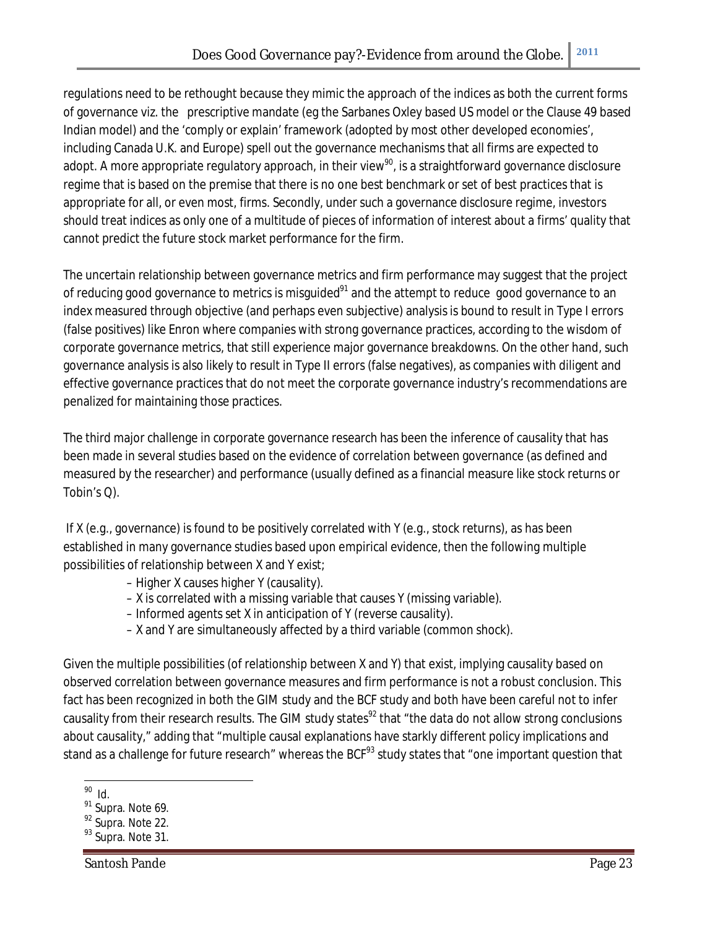regulations need to be rethought because they mimic the approach of the indices as both the current forms of governance viz. the prescriptive mandate (eg the Sarbanes Oxley based US model or the Clause 49 based Indian model) and the 'comply or explain' framework (adopted by most other developed economies', including Canada U.K. and Europe) spell out the governance mechanisms that all firms are expected to adopt. A more appropriate regulatory approach, in their view<sup>90</sup>, is a straightforward governance disclosure regime that is based on the premise that there is no one best benchmark or set of best practices that is appropriate for all, or even most, firms. Secondly, under such a governance disclosure regime, investors should treat indices as only one of a multitude of pieces of information of interest about a firms' quality that cannot predict the future stock market performance for the firm.

The uncertain relationship between governance metrics and firm performance may suggest that the project of reducing good governance to metrics is misguided<sup>91</sup> and the attempt to reduce good governance to an index measured through objective (and perhaps even subjective) analysis is bound to result in Type I errors (false positives) like Enron where companies with strong governance practices, according to the wisdom of corporate governance metrics, that still experience major governance breakdowns. On the other hand, such governance analysis is also likely to result in Type II errors (false negatives), as companies with diligent and effective governance practices that do not meet the corporate governance industry's recommendations are penalized for maintaining those practices.

The third major challenge in corporate governance research has been the inference of causality that has been made in several studies based on the evidence of correlation between governance (as defined and measured by the researcher) and performance (usually defined as a financial measure like stock returns or Tobin's Q).

If X (e.g., governance) is found to be positively correlated with Y (e.g., stock returns), as has been established in many governance studies based upon empirical evidence, then the following multiple possibilities of relationship between X and Y exist;

- Higher X causes higher Y (causality).
- X is correlated with a missing variable that causes Y (missing variable).
- Informed agents set X in anticipation of Y (reverse causality).
- X and Y are simultaneously affected by a third variable (common shock).

Given the multiple possibilities (of relationship between X and Y) that exist, implying causality based on observed correlation between governance measures and firm performance is not a robust conclusion. This fact has been recognized in both the GIM study and the BCF study and both have been careful not to infer causality from their research results. The GIM study states $^{92}$  that "the data do not allow strong conclusions about causality," adding that "multiple causal explanations have starkly different policy implications and stand as a challenge for future research" whereas the BCF<sup>93</sup> study states that "one important question that

 $\frac{90}{90}$  Id.

 $91$  Supra. Note 69.

 $92$  Supra. Note 22.

<sup>93</sup> Supra. Note 31.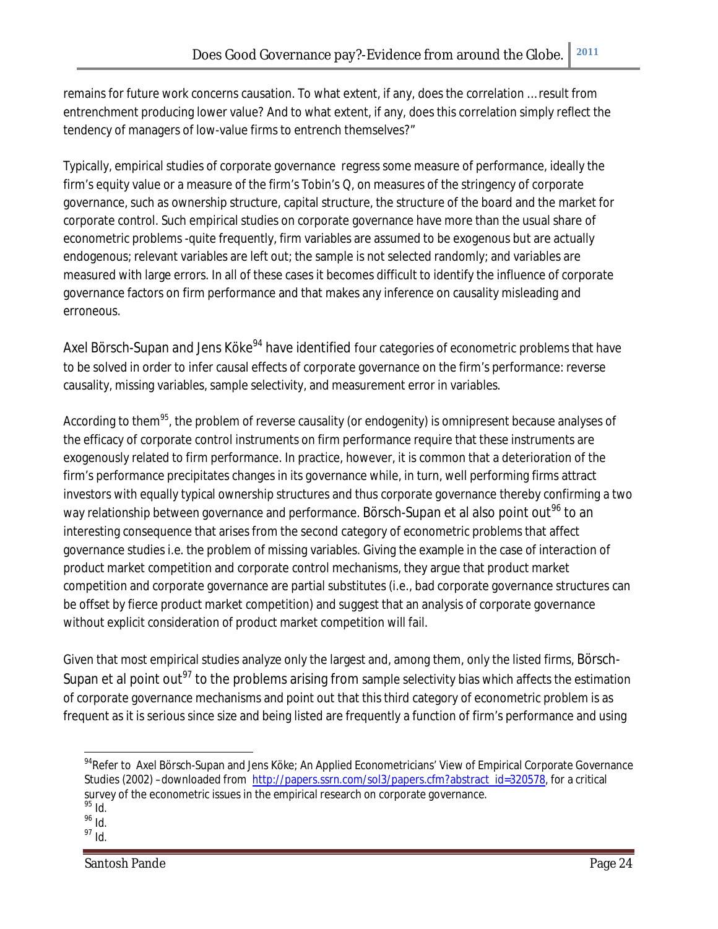remains for future work concerns causation. To what extent, if any, does the correlation … result from entrenchment producing lower value? And to what extent, if any, does this correlation simply reflect the tendency of managers of low-value firms to entrench themselves?"

Typically, empirical studies of corporate governance regress some measure of performance, ideally the firm's equity value or a measure of the firm's Tobin's Q, on measures of the stringency of corporate governance, such as ownership structure, capital structure, the structure of the board and the market for corporate control. Such empirical studies on corporate governance have more than the usual share of econometric problems -quite frequently, firm variables are assumed to be exogenous but are actually endogenous; relevant variables are left out; the sample is not selected randomly; and variables are measured with large errors. In all of these cases it becomes difficult to identify the influence of corporate governance factors on firm performance and that makes any inference on causality misleading and erroneous.

Axel Börsch-Supan and Jens Köke<sup>94</sup> have identified four categories of econometric problems that have to be solved in order to infer causal effects of corporate governance on the firm's performance: reverse causality, missing variables, sample selectivity, and measurement error in variables.

According to them<sup>95</sup>, the problem of reverse causality (or endogenity) is omnipresent because analyses of the efficacy of corporate control instruments on firm performance require that these instruments are exogenously related to firm performance. In practice, however, it is common that a deterioration of the firm's performance precipitates changes in its governance while, in turn, well performing firms attract investors with equally typical ownership structures and thus corporate governance thereby confirming a two way relationship between governance and performance. Börsch-Supan et al also point out<sup>96</sup> to an interesting consequence that arises from the second category of econometric problems that affect governance studies i.e. the problem of missing variables. Giving the example in the case of interaction of product market competition and corporate control mechanisms, they argue that product market competition and corporate governance are partial substitutes (i.e., bad corporate governance structures can be offset by fierce product market competition) and suggest that an analysis of corporate governance without explicit consideration of product market competition will fail.

Given that most empirical studies analyze only the largest and, among them, only the listed firms, Börsch-Supan et al point out<sup>97</sup> to the problems arising from sample selectivity bias which affects the estimation of corporate governance mechanisms and point out that this third category of econometric problem is as frequent as it is serious since size and being listed are frequently a function of firm's performance and using

 $\overline{\phantom{a}}$ <sup>94</sup>Refer to Axel Börsch-Supan and Jens Köke; An Applied Econometricians' View of Empirical Corporate Governance Studies (2002) –downloaded from http://papers.ssrn.com/sol3/papers.cfm?abstract\_id=320578, for a critical survey of the econometric issues in the empirical research on corporate governance.

<sup>&</sup>lt;sup>95</sup> Id.

 $96$  Id.

 $97$  Id.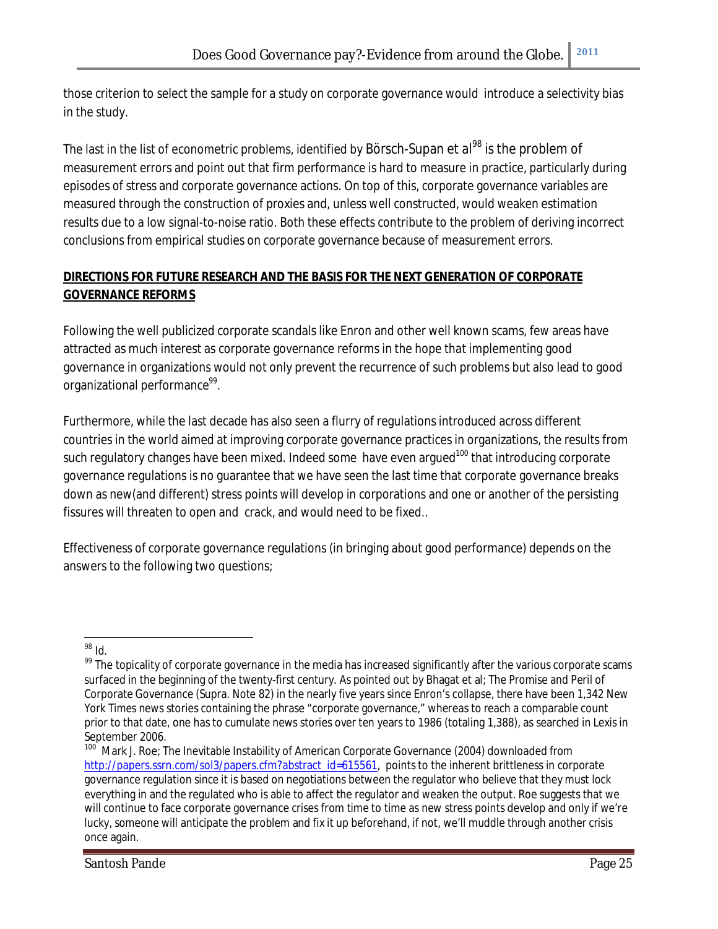those criterion to select the sample for a study on corporate governance would introduce a selectivity bias in the study.

The last in the list of econometric problems, identified by Börsch-Supan et al<sup>98</sup> is the problem of measurement errors and point out that firm performance is hard to measure in practice, particularly during episodes of stress and corporate governance actions. On top of this, corporate governance variables are measured through the construction of proxies and, unless well constructed, would weaken estimation results due to a low signal-to-noise ratio. Both these effects contribute to the problem of deriving incorrect conclusions from empirical studies on corporate governance because of measurement errors.

## **DIRECTIONS FOR FUTURE RESEARCH AND THE BASIS FOR THE NEXT GENERATION OF CORPORATE GOVERNANCE REFORMS**

Following the well publicized corporate scandals like Enron and other well known scams, few areas have attracted as much interest as corporate governance reforms in the hope that implementing good governance in organizations would not only prevent the recurrence of such problems but also lead to good organizational performance<sup>99</sup>.

Furthermore, while the last decade has also seen a flurry of regulations introduced across different countries in the world aimed at improving corporate governance practices in organizations, the results from such regulatory changes have been mixed. Indeed some have even argued $100$  that introducing corporate governance regulations is no guarantee that we have seen the last time that corporate governance breaks down as new(and different) stress points will develop in corporations and one or another of the persisting fissures will threaten to open and crack, and would need to be fixed..

Effectiveness of corporate governance regulations (in bringing about good performance) depends on the answers to the following two questions;

 $\overline{a}$ <sup>98</sup> Id.

<sup>&</sup>lt;sup>99</sup> The topicality of corporate governance in the media has increased significantly after the various corporate scams surfaced in the beginning of the twenty-first century. As pointed out by Bhagat et al; The Promise and Peril of Corporate Governance (Supra. Note 82) in the nearly five years since Enron's collapse, there have been 1,342 *New York Times* news stories containing the phrase "corporate governance," whereas to reach a comparable count prior to that date, one has to cumulate news stories over ten years to 1986 (totaling 1,388), as searched in Lexis in September 2006.

<sup>&</sup>lt;sup>100</sup> Mark J. Roe; The Inevitable Instability of American Corporate Governance (2004) downloaded from http://papers.ssrn.com/sol3/papers.cfm?abstract\_id=615561, points to the inherent brittleness in corporate governance regulation since it is based on negotiations between the regulator who believe that they must lock everything in and the regulated who is able to affect the regulator and weaken the output. Roe suggests that we will continue to face corporate governance crises from time to time as new stress points develop and only if we're lucky, someone will anticipate the problem and fix it up beforehand, if not, we'll muddle through another crisis once again.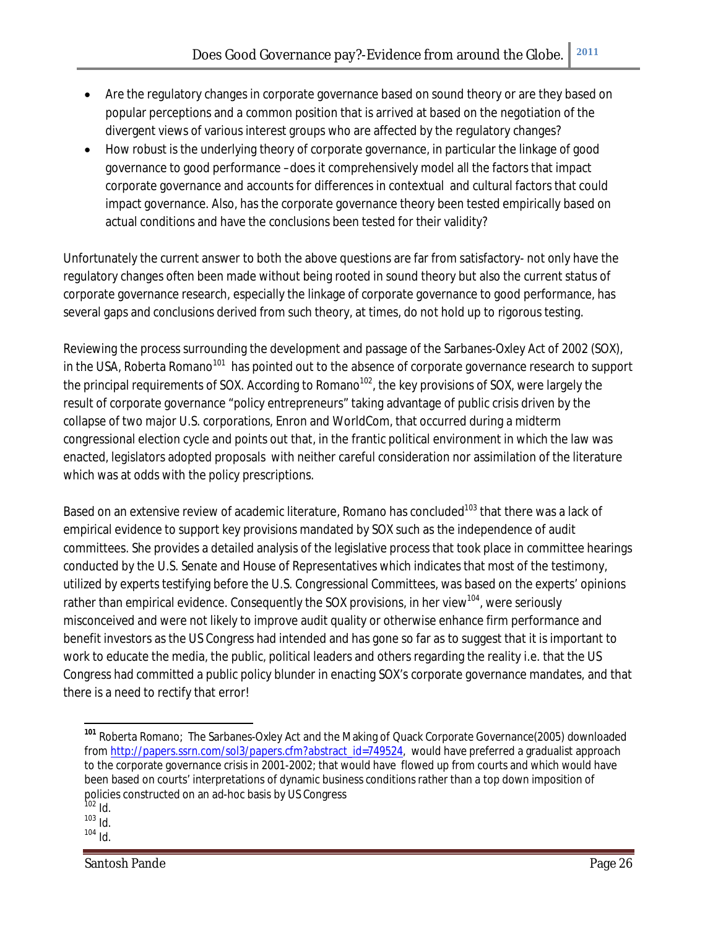- Are the regulatory changes in corporate governance based on sound theory or are they based on popular perceptions and a common position that is arrived at based on the negotiation of the divergent views of various interest groups who are affected by the regulatory changes?
- How robust is the underlying theory of corporate governance, in particular the linkage of good governance to good performance –does it comprehensively model all the factors that impact corporate governance and accounts for differences in contextual and cultural factors that could impact governance. Also, has the corporate governance theory been tested empirically based on actual conditions and have the conclusions been tested for their validity?

Unfortunately the current answer to both the above questions are far from satisfactory- not only have the regulatory changes often been made without being rooted in sound theory but also the current status of corporate governance research, especially the linkage of corporate governance to good performance, has several gaps and conclusions derived from such theory, at times, do not hold up to rigorous testing.

Reviewing the process surrounding the development and passage of the Sarbanes-Oxley Act of 2002 (SOX), in the USA, Roberta Romano<sup>101</sup> has pointed out to the absence of corporate governance research to support the principal requirements of SOX. According to Romano<sup>102</sup>, the key provisions of SOX, were largely the result of corporate governance "policy entrepreneurs" taking advantage of public crisis driven by the collapse of two major U.S. corporations, Enron and WorldCom, that occurred during a midterm congressional election cycle and points out that, in the frantic political environment in which the law was enacted, legislators adopted proposals with neither careful consideration nor assimilation of the literature which was at odds with the policy prescriptions.

Based on an extensive review of academic literature, Romano has concluded<sup>103</sup> that there was a lack of empirical evidence to support key provisions mandated by SOX such as the independence of audit committees. She provides a detailed analysis of the legislative process that took place in committee hearings conducted by the U.S. Senate and House of Representatives which indicates that most of the testimony, utilized by experts testifying before the U.S. Congressional Committees, was based on the experts' opinions rather than empirical evidence. Consequently the SOX provisions, in her view $^{\rm 104}$ , were seriously misconceived and were not likely to improve audit quality or otherwise enhance firm performance and benefit investors as the US Congress had intended and has gone so far as to suggest that it is important to work to educate the media, the public, political leaders and others regarding the reality i.e. that the US Congress had committed a public policy blunder in enacting SOX's corporate governance mandates, and that there is a need to rectify that error!

 $\overline{a}$ **<sup>101</sup>** Roberta Romano; The Sarbanes-Oxley Act and the Making of Quack Corporate Governance(2005) downloaded from http://papers.ssrn.com/sol3/papers.cfm?abstract\_id=749524, would have preferred a gradualist approach to the corporate governance crisis in 2001-2002; that would have flowed up from courts and which would have been based on courts' interpretations of dynamic business conditions rather than a top down imposition of policies constructed on an ad-hoc basis by US Congress

 $102$  Id.  $103$   $\frac{1}{10}$ .

 $104$   $\frac{1}{10}$ .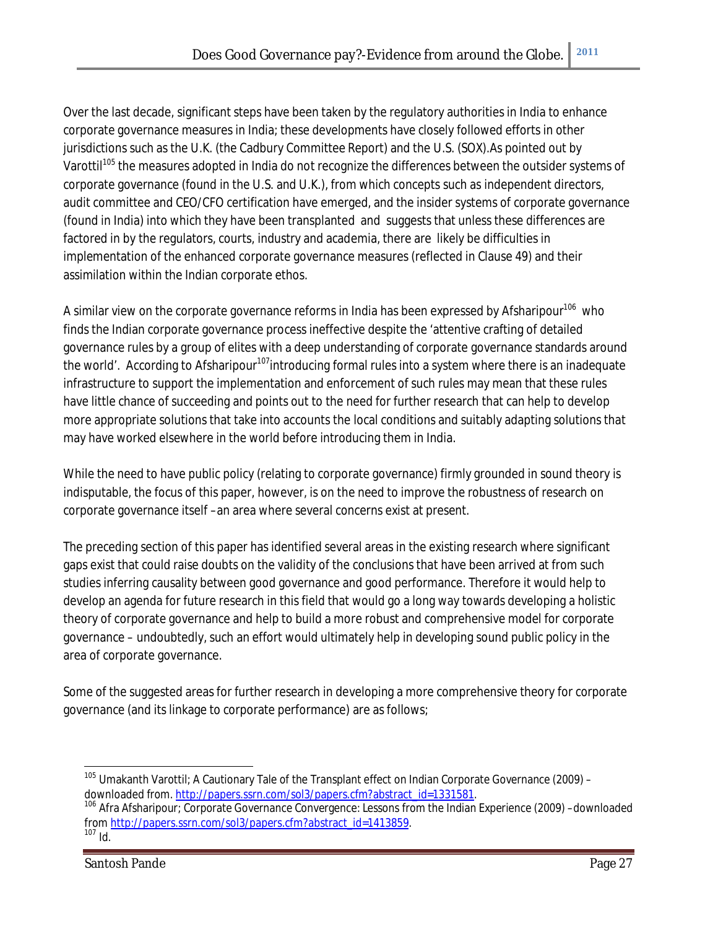Over the last decade, significant steps have been taken by the regulatory authorities in India to enhance corporate governance measures in India; these developments have closely followed efforts in other jurisdictions such as the U.K. (the Cadbury Committee Report) and the U.S. (SOX).As pointed out by Varottil<sup>105</sup> the measures adopted in India do not recognize the differences between the outsider systems of corporate governance (found in the U.S. and U.K.), from which concepts such as independent directors, audit committee and CEO/CFO certification have emerged, and the insider systems of corporate governance (found in India) into which they have been transplanted and suggests that unless these differences are factored in by the regulators, courts, industry and academia, there are likely be difficulties in implementation of the enhanced corporate governance measures (reflected in Clause 49) and their assimilation within the Indian corporate ethos.

A similar view on the corporate governance reforms in India has been expressed by Afsharipour<sup>106</sup> who finds the Indian corporate governance process ineffective despite the 'attentive crafting of detailed governance rules by a group of elites with a deep understanding of corporate governance standards around the world'. According to Afsharipour<sup>107</sup>introducing formal rules into a system where there is an inadequate infrastructure to support the implementation and enforcement of such rules may mean that these rules have little chance of succeeding and points out to the need for further research that can help to develop more appropriate solutions that take into accounts the local conditions and suitably adapting solutions that may have worked elsewhere in the world before introducing them in India.

While the need to have public policy (relating to corporate governance) firmly grounded in sound theory is indisputable, the focus of this paper, however, is on the need to improve the robustness of research on corporate governance itself –an area where several concerns exist at present.

The preceding section of this paper has identified several areas in the existing research where significant gaps exist that could raise doubts on the validity of the conclusions that have been arrived at from such studies inferring causality between good governance and good performance. Therefore it would help to develop an agenda for future research in this field that would go a long way towards developing a holistic theory of corporate governance and help to build a more robust and comprehensive model for corporate governance – undoubtedly, such an effort would ultimately help in developing sound public policy in the area of corporate governance.

Some of the suggested areas for further research in developing a more comprehensive theory for corporate governance (and its linkage to corporate performance) are as follows;

 $\overline{a}$ <sup>105</sup> Umakanth Varottil; A Cautionary Tale of the Transplant effect on Indian Corporate Governance (2009) downloaded from. http://papers.ssrn.com/sol3/papers.cfm?abstract\_id=1331581.

<sup>106</sup> Afra Afsharipour; Corporate Governance Convergence: Lessons from the Indian Experience (2009) -downloaded from http://papers.ssrn.com/sol3/papers.cfm?abstract\_id=1413859.  $107$  Id.

Santosh Pande Page 27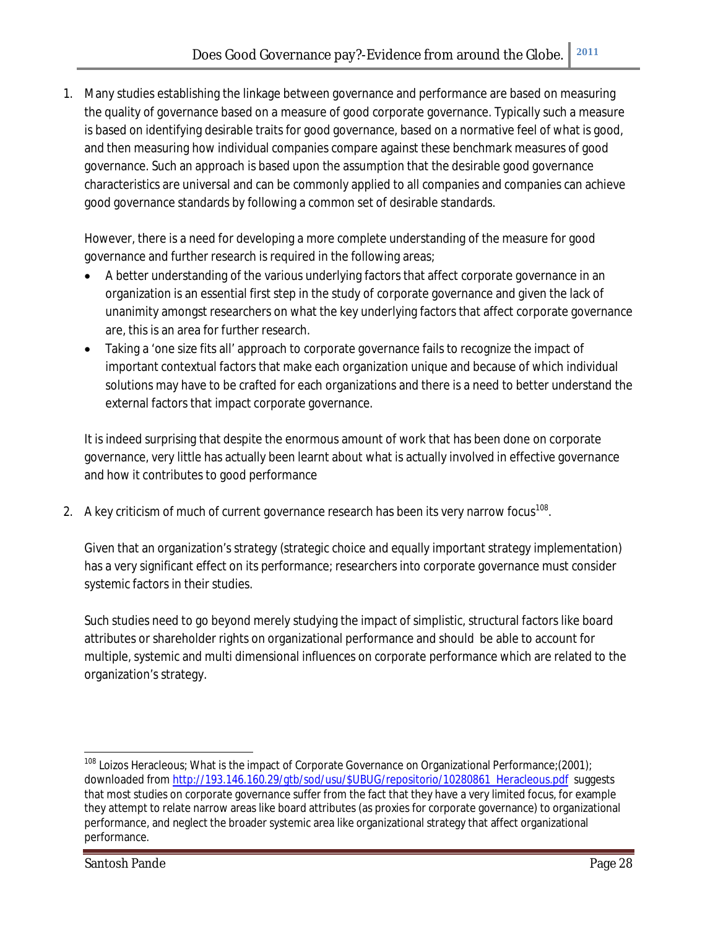1. Many studies establishing the linkage between governance and performance are based on measuring the quality of governance based on a measure of good corporate governance. Typically such a measure is based on identifying desirable traits for good governance, based on a normative feel of what is good, and then measuring how individual companies compare against these benchmark measures of good governance. Such an approach is based upon the assumption that the desirable good governance characteristics are universal and can be commonly applied to all companies and companies can achieve good governance standards by following a common set of desirable standards.

However, there is a need for developing a more complete understanding of the measure for good governance and further research is required in the following areas;

- A better understanding of the various underlying factors that affect corporate governance in an organization is an essential first step in the study of corporate governance and given the lack of unanimity amongst researchers on what the key underlying factors that affect corporate governance are, this is an area for further research.
- Taking a 'one size fits all' approach to corporate governance fails to recognize the impact of important contextual factors that make each organization unique and because of which individual solutions may have to be crafted for each organizations and there is a need to better understand the external factors that impact corporate governance.

It is indeed surprising that despite the enormous amount of work that has been done on corporate governance, very little has actually been learnt about what is actually involved in effective governance and how it contributes to good performance

2.  $\,$  A key criticism of much of current governance research has been its very narrow focus $^{108}.$ 

Given that an organization's strategy (strategic choice and equally important strategy implementation) has a very significant effect on its performance; researchers into corporate governance must consider systemic factors in their studies.

Such studies need to go beyond merely studying the impact of simplistic, structural factors like board attributes or shareholder rights on organizational performance and should be able to account for multiple, systemic and multi dimensional influences on corporate performance which are related to the organization's strategy.

 $\overline{\phantom{a}}$  $^{108}$  Loizos Heracleous; What is the impact of Corporate Governance on Organizational Performance;(2001); downloaded from http://193.146.160.29/gtb/sod/usu/\$UBUG/repositorio/10280861\_Heracleous.pdf suggests that most studies on corporate governance suffer from the fact that they have a very limited focus, for example they attempt to relate narrow areas like board attributes (as proxies for corporate governance) to organizational performance, and neglect the broader systemic area like organizational strategy that affect organizational performance.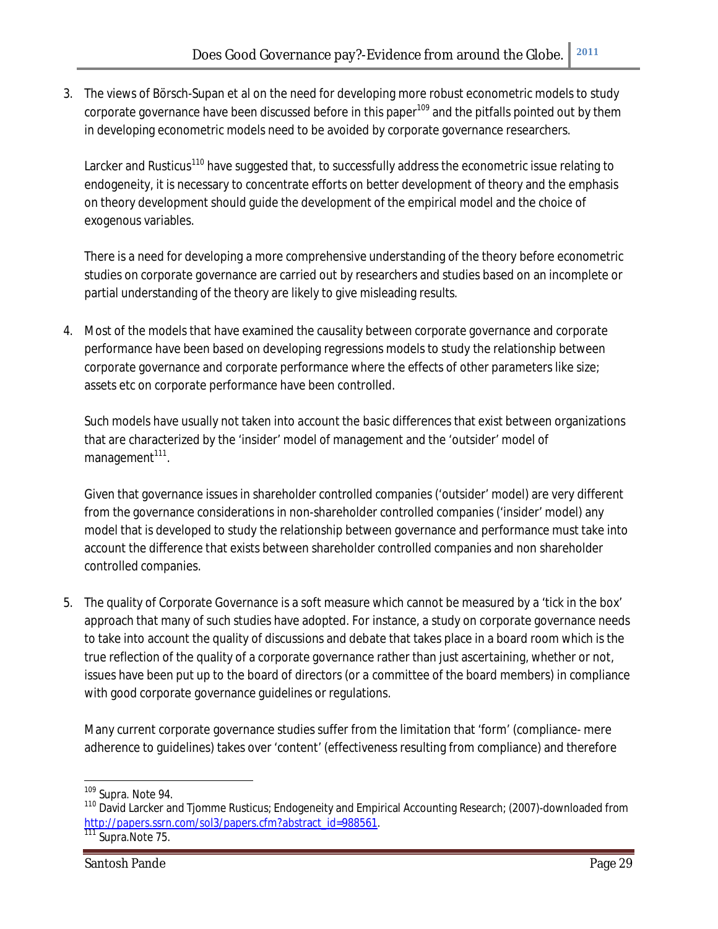3. The views of Börsch-Supan et al on the need for developing more robust econometric models to study corporate governance have been discussed before in this paper<sup>109</sup> and the pitfalls pointed out by them in developing econometric models need to be avoided by corporate governance researchers.

Larcker and Rusticus<sup>110</sup> have suggested that, to successfully address the econometric issue relating to endogeneity, it is necessary to concentrate efforts on better development of theory and the emphasis on theory development should guide the development of the empirical model and the choice of exogenous variables.

There is a need for developing a more comprehensive understanding of the theory before econometric studies on corporate governance are carried out by researchers and studies based on an incomplete or partial understanding of the theory are likely to give misleading results.

4. Most of the models that have examined the causality between corporate governance and corporate performance have been based on developing regressions models to study the relationship between corporate governance and corporate performance where the effects of other parameters like size; assets etc on corporate performance have been controlled.

Such models have usually not taken into account the basic differences that exist between organizations that are characterized by the 'insider' model of management and the 'outsider' model of management<sup>111</sup>.

Given that governance issues in shareholder controlled companies ('outsider' model) are very different from the governance considerations in non-shareholder controlled companies ('insider' model) any model that is developed to study the relationship between governance and performance must take into account the difference that exists between shareholder controlled companies and non shareholder controlled companies.

5. The quality of Corporate Governance is a soft measure which cannot be measured by a 'tick in the box' approach that many of such studies have adopted. For instance, a study on corporate governance needs to take into account the quality of discussions and debate that takes place in a board room which is the true reflection of the quality of a corporate governance rather than just ascertaining, whether or not, issues have been put up to the board of directors (or a committee of the board members) in compliance with good corporate governance guidelines or regulations.

Many current corporate governance studies suffer from the limitation that 'form' (compliance- mere adherence to guidelines) takes over 'content' (effectiveness resulting from compliance) and therefore

 $\overline{a}$ 

<sup>&</sup>lt;sup>109</sup> Supra. Note 94.

<sup>110</sup> David Larcker and Tjomme Rusticus; Endogeneity and Empirical Accounting Research; (2007)-downloaded from http://papers.ssrn.com/sol3/papers.cfm?abstract\_id=988561.

Supra.Note 75.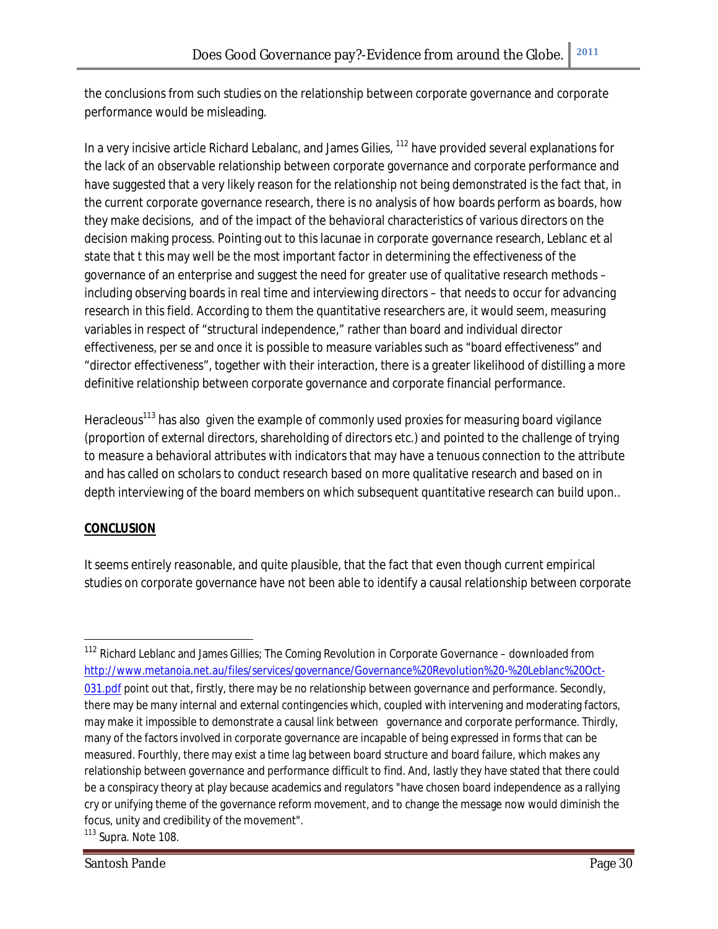the conclusions from such studies on the relationship between corporate governance and corporate performance would be misleading.

In a very incisive article Richard Lebalanc, and James Gilies, <sup>112</sup> have provided several explanations for the lack of an observable relationship between corporate governance and corporate performance and have suggested that a very likely reason for the relationship not being demonstrated is the fact that, in the current corporate governance research, there is no analysis of how boards perform as boards, how they make decisions, and of the impact of the behavioral characteristics of various directors on the decision making process. Pointing out to this lacunae in corporate governance research, Leblanc et al state that t this may well be the most important factor in determining the effectiveness of the governance of an enterprise and suggest the need for greater use of qualitative research methods – including observing boards in real time and interviewing directors – that needs to occur for advancing research in this field. According to them the quantitative researchers are, it would seem, measuring variables in respect of "structural independence," rather than board and individual director effectiveness, per se and once it is possible to measure variables such as "board effectiveness" and "director effectiveness", together with their interaction, there is a greater likelihood of distilling a more definitive relationship between corporate governance and corporate financial performance.

Heracleous<sup>113</sup> has also given the example of commonly used proxies for measuring board vigilance (proportion of external directors, shareholding of directors etc.) and pointed to the challenge of trying to measure a behavioral attributes with indicators that may have a tenuous connection to the attribute and has called on scholars to conduct research based on more qualitative research and based on in depth interviewing of the board members on which subsequent quantitative research can build upon..

## **CONCLUSION**

 $\overline{\phantom{a}}$ 

It seems entirely reasonable, and quite plausible, that the fact that even though current empirical studies on corporate governance have not been able to identify a causal relationship between corporate

 $^{112}$  Richard Leblanc and James Gillies; The Coming Revolution in Corporate Governance – downloaded from http://www.metanoia.net.au/files/services/governance/Governance%20Revolution%20-%20Leblanc%20Oct-031.pdf point out that, firstly, there may be no relationship between governance and performance. Secondly, there may be many internal and external contingencies which, coupled with intervening and moderating factors, may make it impossible to demonstrate a causal link between governance and corporate performance. Thirdly, many of the factors involved in corporate governance are incapable of being expressed in forms that can be measured. Fourthly, there may exist a time lag between board structure and board failure, which makes any relationship between governance and performance difficult to find. And, lastly they have stated that there could be a conspiracy theory at play because academics and regulators "have chosen board independence as a rallying cry or unifying theme of the governance reform movement, and to change the message now would diminish the focus, unity and credibility of the movement".

<sup>113</sup> Supra. Note 108.